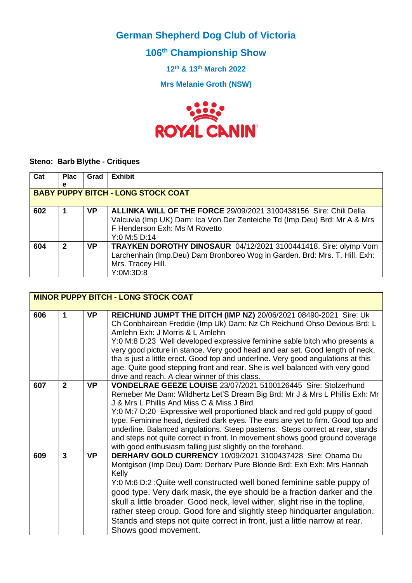**German Shepherd Dog Club of Victoria**

**106th Championship Show**

**12th & 13th March 2022**

**Mrs Melanie Groth (NSW)**



## **Steno: Barb Blythe - Critiques**

| Cat | <b>Plac</b>                               | Grad      | <b>Exhibit</b>                                                                                                                                                                                         |  |
|-----|-------------------------------------------|-----------|--------------------------------------------------------------------------------------------------------------------------------------------------------------------------------------------------------|--|
|     | е                                         |           |                                                                                                                                                                                                        |  |
|     | <b>BABY PUPPY BITCH - LONG STOCK COAT</b> |           |                                                                                                                                                                                                        |  |
| 602 |                                           | <b>VP</b> | <b>ALLINKA WILL OF THE FORCE 29/09/2021 3100438156 Sire: Chili Della</b><br>Valcuvia (Imp UK) Dam: Ica Von Der Zenteiche Td (Imp Deu) Brd: Mr A & Mrs<br>F Henderson Exh: Ms M Rovetto<br>Y:0 M:5 D:14 |  |
| 604 | $\mathbf 2$                               | <b>VP</b> | TRAYKEN DOROTHY DINOSAUR 04/12/2021 3100441418. Sire: olymp Vom<br>Larchenhain (Imp.Deu) Dam Bronboreo Wog in Garden. Brd: Mrs. T. Hill. Exh:<br>Mrs. Tracey Hill.<br>Y:OM:3D:8                        |  |

|     |                         |           | <b>MINOR PUPPY BITCH - LONG STOCK COAT</b>                                                                                                                                                                                                                                                                                                                                                                                                                                                                                                                                                   |
|-----|-------------------------|-----------|----------------------------------------------------------------------------------------------------------------------------------------------------------------------------------------------------------------------------------------------------------------------------------------------------------------------------------------------------------------------------------------------------------------------------------------------------------------------------------------------------------------------------------------------------------------------------------------------|
| 606 | 1                       | <b>VP</b> | REICHUND JUMPT THE DITCH (IMP NZ) 20/06/2021 08490-2021 Sire: Uk<br>Ch Conbhairean Freddie (Imp Uk) Dam: Nz Ch Reichund Ohso Devious Brd: L<br>Amlehn Exh: J Morris & L Amlehn<br>Y:0 M:8 D:23 Well developed expressive feminine sable bitch who presents a<br>very good picture in stance. Very good head and ear set. Good length of neck,<br>tha is just a little erect. Good top and underline. Very good angulations at this<br>age. Quite good stepping front and rear. She is well balanced with very good<br>drive and reach. A clear winner of this class.                         |
| 607 | $\overline{2}$          | <b>VP</b> | VONDELRAE GEEZE LOUISE 23/07/2021 5100126445 Sire: Stolzerhund<br>Remeber Me Dam: Wildhertz Let'S Dream Big Brd: Mr J & Mrs L Phillis Exh: Mr<br>J & Mrs L Phillis And Miss C & Miss J Bird<br>Y:0 M:7 D:20 Expressive well proportioned black and red gold puppy of good<br>type. Feminine head, desired dark eyes. The ears are yet to firm. Good top and<br>underline. Balanced angulations. Steep pasterns. Steps correct at rear, stands<br>and steps not quite correct in front. In movement shows good ground coverage<br>with good enthusiasm falling just slightly on the forehand. |
| 609 | $\overline{\mathbf{3}}$ | <b>VP</b> | DERHARV GOLD CURRENCY 10/09/2021 3100437428 Sire: Obama Du<br>Montgison (Imp Deu) Dam: Derharv Pure Blonde Brd: Exh Exh: Mrs Hannah<br>Kelly<br>Y:0 M:6 D:2 : Quite well constructed well boned feminine sable puppy of<br>good type. Very dark mask, the eye should be a fraction darker and the<br>skull a little broader. Good neck, level wither, slight rise in the topline,<br>rather steep croup. Good fore and slightly steep hindquarter angulation.<br>Stands and steps not quite correct in front, just a little narrow at rear.<br>Shows good movement.                          |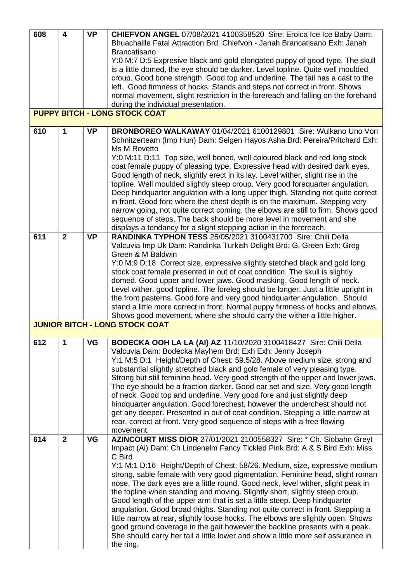| 608 | $\overline{\mathbf{4}}$ | <b>VP</b> | <b>CHIEFVON ANGEL 07/08/2021 4100358520 Sire: Eroica Ice Ice Baby Dam:</b>                                       |
|-----|-------------------------|-----------|------------------------------------------------------------------------------------------------------------------|
|     |                         |           | Bhuachaille Fatal Attraction Brd: Chiefvon - Janah Brancatisano Exh: Janah                                       |
|     |                         |           | <b>Brancatisano</b>                                                                                              |
|     |                         |           |                                                                                                                  |
|     |                         |           | Y:0 M:7 D:5 Expresive black and gold elongated puppy of good type. The skull                                     |
|     |                         |           | is a little domed, the eye should be darker. Level topline. Quite well moulded                                   |
|     |                         |           | croup. Good bone strength. Good top and underline. The tail has a cast to the                                    |
|     |                         |           | left. Good firmness of hocks. Stands and steps not correct in front. Shows                                       |
|     |                         |           | normal movement, slight restriction in the forereach and falling on the forehand                                 |
|     |                         |           | during the individual presentation.                                                                              |
|     |                         |           | <b>PUPPY BITCH - LONG STOCK COAT</b>                                                                             |
|     |                         |           |                                                                                                                  |
| 610 | 1                       | <b>VP</b> | BRONBOREO WALKAWAY 01/04/2021 6100129801 Sire: Wulkano Uno Von                                                   |
|     |                         |           | Schnitzerteam (Imp Hun) Dam: Seigen Hayos Asha Brd: Pereira/Pritchard Exh:                                       |
|     |                         |           | Ms M Rovetto                                                                                                     |
|     |                         |           | Y:0 M:11 D:11 Top size, well boned, well coloured black and red long stock                                       |
|     |                         |           | coat female puppy of pleasing type. Expressive head with desired dark eyes.                                      |
|     |                         |           | Good length of neck, slightly erect in its lay. Level wither, slight rise in the                                 |
|     |                         |           |                                                                                                                  |
|     |                         |           | topline. Well moulded slightly steep croup. Very good forequarter angulation.                                    |
|     |                         |           | Deep hindquarter angulation with a long upper thigh. Standing not quite correct                                  |
|     |                         |           | in front. Good fore where the chest depth is on the maximum. Stepping very                                       |
|     |                         |           | narrow going, not quite correct coming, the elbows are still to firm. Shows good                                 |
|     |                         |           | sequence of steps. The back should be more level in movement and she                                             |
|     |                         |           | displays a tendancy for a slight stepping action in the forereach.                                               |
| 611 | $\overline{2}$          | <b>VP</b> | RANDINKA TYPHON TESS 25/05/2021 3100431700 Sire: Chili Della                                                     |
|     |                         |           | Valcuvia Imp Uk Dam: Randinka Turkish Delight Brd: G. Green Exh: Greg                                            |
|     |                         |           | Green & M Baldwin                                                                                                |
|     |                         |           | Y:0 M:9 D:18 Correct size, expressive slightly stetched black and gold long                                      |
|     |                         |           | stock coat female presented in out of coat condition. The skull is slightly                                      |
|     |                         |           | domed. Good upper and lower jaws. Good masking. Good length of neck.                                             |
|     |                         |           | Level wither, good topline. The foreleg should be longer. Just a little upright in                               |
|     |                         |           | the front pasterns. Good fore and very good hindquarter angulation Should                                        |
|     |                         |           | stand a little more correct in front. Normal puppy firmness of hocks and elbows.                                 |
|     |                         |           |                                                                                                                  |
|     |                         |           | Shows good movement, where she should carry the wither a little higher.<br><b>JUNIOR BITCH - LONG STOCK COAT</b> |
|     |                         |           |                                                                                                                  |
| 612 | 1                       | VG        | BODECKA OOH LA LA (AI) AZ 11/10/2020 3100418427 Sire: Chili Della                                                |
|     |                         |           | Valcuvia Dam: Bodecka Mayhem Brd: Exh Exh: Jenny Joseph                                                          |
|     |                         |           | Y:1 M:5 D:1 Height/Depth of Chest: 59.5/28. Above medium size, strong and                                        |
|     |                         |           |                                                                                                                  |
|     |                         |           | substantial slightly stretched black and gold female of very pleasing type.                                      |
|     |                         |           | Strong but still feminine head. Very good strength of the upper and lower jaws.                                  |
|     |                         |           | The eye should be a fraction darker. Good ear set and size. Very good length                                     |
|     |                         |           | of neck. Good top and underline. Very good fore and just slightly deep                                           |
|     |                         |           | hindquarter angulation. Good forechest, however the underchest should not                                        |
|     |                         |           | get any deeper. Presented in out of coat condition. Stepping a little narrow at                                  |
|     |                         |           | rear, correct at front. Very good sequence of steps with a free flowing                                          |
|     |                         |           | movement.                                                                                                        |
| 614 | $\mathbf{2}$            | VG        | AZINCOURT MISS DIOR 27/01/2021 2100558327 Sire: * Ch. Siobahn Greyt                                              |
|     |                         |           | Impact (Ai) Dam: Ch Lindenelm Fancy Tickled Pink Brd: A & S Bird Exh: Miss                                       |
|     |                         |           | C Bird                                                                                                           |
|     |                         |           | Y:1 M:1 D:16 Height/Depth of Chest: 58/26. Medium, size, expressive medium                                       |
|     |                         |           |                                                                                                                  |
|     |                         |           | strong, sable female with very good pigmentation. Feminine head, slight roman                                    |
|     |                         |           | nose. The dark eyes are a little round. Good neck, level wither, slight peak in                                  |
|     |                         |           | the topline when standing and moving. Slightly short, slightly steep croup.                                      |
|     |                         |           | Good length of the upper arm that is set a little steep. Deep hindquarter                                        |
|     |                         |           | angulation. Good broad thighs. Standing not quite correct in front. Stepping a                                   |
|     |                         |           | little narrow at rear, slightly loose hocks. The elbows are slightly open. Shows                                 |
|     |                         |           | good ground coverage in the gait however the backline presents with a peak.                                      |
|     |                         |           | She should carry her tail a little lower and show a little more self assurance in                                |
|     |                         |           | the ring.                                                                                                        |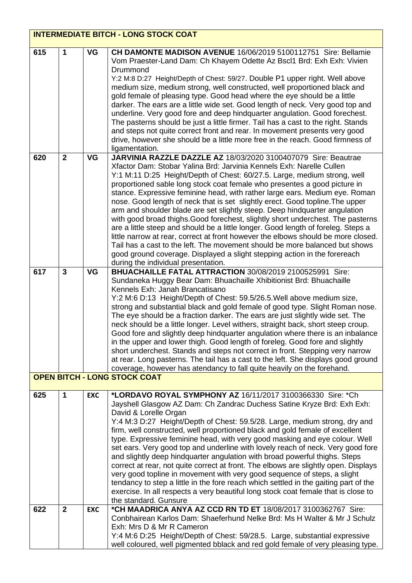|     | <b>INTERMEDIATE BITCH - LONG STOCK COAT</b> |            |                                                                                                                                                                                                                                                                                                                                                                                                                                                                                                                                                                                                                                                                                                                                                                                                                                                                                                                                                                                                               |  |  |
|-----|---------------------------------------------|------------|---------------------------------------------------------------------------------------------------------------------------------------------------------------------------------------------------------------------------------------------------------------------------------------------------------------------------------------------------------------------------------------------------------------------------------------------------------------------------------------------------------------------------------------------------------------------------------------------------------------------------------------------------------------------------------------------------------------------------------------------------------------------------------------------------------------------------------------------------------------------------------------------------------------------------------------------------------------------------------------------------------------|--|--|
| 615 | 1                                           | VG         | CH DAMONTE MADISON AVENUE 16/06/2019 5100112751 Sire: Bellamie<br>Vom Praester-Land Dam: Ch Khayem Odette Az Bscl1 Brd: Exh Exh: Vivien<br>Drummond<br>Y:2 M:8 D:27 Height/Depth of Chest: 59/27. Double P1 upper right. Well above<br>medium size, medium strong, well constructed, well proportioned black and<br>gold female of pleasing type. Good head where the eye should be a little<br>darker. The ears are a little wide set. Good length of neck. Very good top and<br>underline. Very good fore and deep hindquarter angulation. Good forechest.<br>The pasterns should be just a little firmer. Tail has a cast to the right. Stands<br>and steps not quite correct front and rear. In movement presents very good<br>drive, however she should be a little more free in the reach. Good firmness of<br>ligamentation.                                                                                                                                                                           |  |  |
| 620 | $\overline{2}$                              | <b>VG</b>  | JARVINIA RAZZLE DAZZLE AZ 18/03/2020 3100407079 Sire: Beautrae<br>Xfactor Dam: Stobar Yalina Brd: Jarvinia Kennels Exh: Narelle Cullen<br>Y:1 M:11 D:25 Height/Depth of Chest: 60/27.5. Large, medium strong, well<br>proportioned sable long stock coat female who presentes a good picture in<br>stance. Expressive feminine head, with rather large ears. Medium eye. Roman<br>nose. Good length of neck that is set slightly erect. Good topline. The upper<br>arm and shoulder blade are set slightly steep. Deep hindquarter angulation<br>with good broad thighs. Good forechest, slightly short underchest. The pasterns<br>are a little steep and should be a little longer. Good length of foreleg. Steps a<br>little narrow at rear, correct at front however the elbows should be more closed.<br>Tail has a cast to the left. The movement should be more balanced but shows<br>good ground coverage. Displayed a slight stepping action in the forereach<br>during the individual presentation. |  |  |
| 617 | $\mathbf{3}$                                | <b>VG</b>  | BHUACHAILLE FATAL ATTRACTION 30/08/2019 2100525991 Sire:<br>Sundaneka Huggy Bear Dam: Bhuachaille Xhibitionist Brd: Bhuachaille<br>Kennels Exh: Janah Brancatisano<br>Y:2 M:6 D:13 Height/Depth of Chest: 59.5/26.5. Well above medium size,<br>strong and substantial black and gold female of good type. Slight Roman nose.<br>The eye should be a fraction darker. The ears are just slightly wide set. The<br>neck should be a little longer. Level withers, straight back, short steep croup.<br>Good fore and slightly deep hindquarter angulation where there is an inbalance<br>in the upper and lower thigh. Good length of foreleg. Good fore and slightly<br>short underchest. Stands and steps not correct in front. Stepping very narrow<br>at rear. Long pasterns. The tail has a cast to the left. She displays good ground<br>coverage, however has atendancy to fall quite heavily on the forehand.<br><b>OPEN BITCH - LONG STOCK COAT</b>                                                   |  |  |
|     |                                             |            |                                                                                                                                                                                                                                                                                                                                                                                                                                                                                                                                                                                                                                                                                                                                                                                                                                                                                                                                                                                                               |  |  |
| 625 | 1                                           | <b>EXC</b> | *LORDAVO ROYAL SYMPHONY AZ 16/11/2017 3100366330 Sire: *Ch<br>Jayshell Glasgow AZ Dam: Ch Zandrac Duchess Satine Kryze Brd: Exh Exh:<br>David & Lorelle Organ<br>Y:4 M:3 D:27 Height/Depth of Chest: 59.5/28. Large, medium strong, dry and<br>firm, well constructed, well proportioned black and gold female of excellent<br>type. Expressive feminine head, with very good masking and eye colour. Well<br>set ears. Very good top and underline with lovely reach of neck. Very good fore<br>and slightly deep hindquarter angulation with broad powerful thighs. Steps<br>correct at rear, not quite correct at front. The elbows are slightly open. Displays<br>very good topline in movement with very good sequence of steps, a slight<br>tendancy to step a little in the fore reach which settled in the gaiting part of the<br>exercise. In all respects a very beautiful long stock coat female that is close to<br>the standard. Gunsure                                                         |  |  |
| 622 | $\overline{2}$                              | <b>EXC</b> | *CH MAADRICA ANYA AZ CCD RN TD ET 18/08/2017 3100362767 Sire:<br>Conbhairean Karlos Dam: Shaeferhund Nelke Brd: Ms H Walter & Mr J Schulz<br>Exh: Mrs D & Mr R Cameron<br>Y:4 M:6 D:25 Height/Depth of Chest: 59/28.5. Large, substantial expressive<br>well coloured, well pigmented bblack and red gold female of very pleasing type.                                                                                                                                                                                                                                                                                                                                                                                                                                                                                                                                                                                                                                                                       |  |  |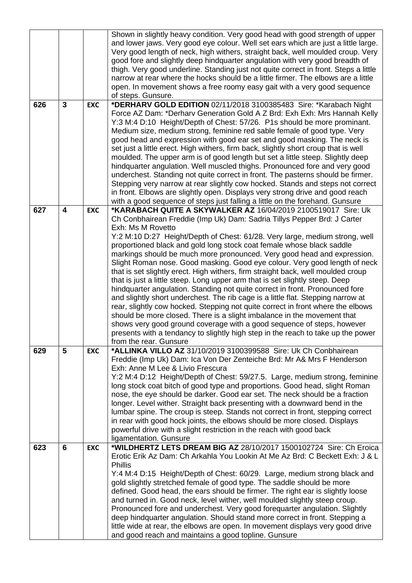|     |                |            | Shown in slightly heavy condition. Very good head with good strength of upper                              |
|-----|----------------|------------|------------------------------------------------------------------------------------------------------------|
|     |                |            | and lower jaws. Very good eye colour. Well set ears which are just a little large.                         |
|     |                |            | Very good length of neck, high withers, straight back, well moulded croup. Very                            |
|     |                |            | good fore and slightly deep hindquarter angulation with very good breadth of                               |
|     |                |            | thigh. Very good underline. Standing just not quite correct in front. Steps a little                       |
|     |                |            | narrow at rear where the hocks should be a little firmer. The elbows are a little                          |
|     |                |            | open. In movement shows a free roomy easy gait with a very good sequence                                   |
|     |                |            | of steps. Gunsure.                                                                                         |
| 626 | $\overline{3}$ | <b>EXC</b> | *DERHARV GOLD EDITION 02/11/2018 3100385483 Sire: *Karabach Night                                          |
|     |                |            | Force AZ Dam: *Derhary Generation Gold A Z Brd: Exh Exh: Mrs Hannah Kelly                                  |
|     |                |            | Y:3 M:4 D:10 Height/Depth of Chest: 57/26. P1s should be more prominant.                                   |
|     |                |            | Medium size, medium strong, feminine red sable female of good type. Very                                   |
|     |                |            | good head and expression with good ear set and good masking. The neck is                                   |
|     |                |            | set just a little erect. High withers, firm back, slightly short croup that is well                        |
|     |                |            | moulded. The upper arm is of good length but set a little steep. Slightly deep                             |
|     |                |            | hindquarter angulation. Well muscled thighs. Pronounced fore and very good                                 |
|     |                |            | underchest. Standing not quite correct in front. The pasterns should be firmer.                            |
|     |                |            | Stepping very narrow at rear slightly cow hocked. Stands and steps not correct                             |
|     |                |            | in front. Elbows are slightly open. Displays very strong drive and good reach                              |
|     |                |            | with a good sequence of steps just falling a little on the forehand. Gunsure                               |
| 627 | 4              | <b>EXC</b> | *KARABACH QUITE A SKYWALKER AZ 16/04/2019 2100519017 Sire: Uk                                              |
|     |                |            | Ch Conbhairean Freddie (Imp Uk) Dam: Sadria Tillys Pepper Brd: J Carter                                    |
|     |                |            | Exh: Ms M Rovetto                                                                                          |
|     |                |            | Y:2 M:10 D:27 Height/Depth of Chest: 61/28. Very large, medium strong, well                                |
|     |                |            | proportioned black and gold long stock coat female whose black saddle                                      |
|     |                |            | markings should be much more pronounced. Very good head and expression.                                    |
|     |                |            | Slight Roman nose. Good masking. Good eye colour. Very good length of neck                                 |
|     |                |            | that is set slightly erect. High withers, firm straight back, well moulded croup                           |
|     |                |            | that is just a little steep. Long upper arm that is set slightly steep. Deep                               |
|     |                |            | hindquarter angulation. Standing not quite correct in front. Pronounced fore                               |
|     |                |            | and slightly short underchest. The rib cage is a little flat. Stepping narrow at                           |
|     |                |            | rear, slightly cow hocked. Stepping not quite correct in front where the elbows                            |
|     |                |            | should be more closed. There is a slight imbalance in the movement that                                    |
|     |                |            | shows very good ground coverage with a good sequence of steps, however                                     |
|     |                |            | presents with a tendancy to slightly high step in the reach to take up the power                           |
|     | 5              |            | from the rear. Gunsure                                                                                     |
| 629 |                | <b>EXC</b> | *ALLINKA VILLO AZ 31/10/2019 3100399588 Sire: Uk Ch Conbhairean                                            |
|     |                |            | Freddie (Imp Uk) Dam: Ica Von Der Zenteiche Brd: Mr A& Mrs F Henderson<br>Exh: Anne M Lee & Livio Frescura |
|     |                |            | Y:2 M:4 D:12 Height/Depth of Chest: 59/27.5. Large, medium strong, feminine                                |
|     |                |            | long stock coat bitch of good type and proportions. Good head, slight Roman                                |
|     |                |            | nose, the eye should be darker. Good ear set. The neck should be a fraction                                |
|     |                |            | longer. Level wither. Straight back presenting with a downward bend in the                                 |
|     |                |            | lumbar spine. The croup is steep. Stands not correct in front, stepping correct                            |
|     |                |            | in rear with good hock joints, the elbows should be more closed. Displays                                  |
|     |                |            | powerful drive with a slight restriction in the reach with good back                                       |
|     |                |            | ligamentation. Gunsure                                                                                     |
| 623 | 6              | <b>EXC</b> | *WILDHERTZ LETS DREAM BIG AZ 28/10/2017 1500102724 Sire: Ch Eroica                                         |
|     |                |            | Erotic Erik Az Dam: Ch Arkahla You Lookin At Me Az Brd: C Beckett Exh: J & L                               |
|     |                |            | <b>Phillis</b>                                                                                             |
|     |                |            | Y:4 M:4 D:15 Height/Depth of Chest: 60/29. Large, medium strong black and                                  |
|     |                |            | gold slightly stretched female of good type. The saddle should be more                                     |
|     |                |            | defined. Good head, the ears should be firmer. The right ear is slightly loose                             |
|     |                |            | and turned in. Good neck, level wither, well moulded slightly steep croup.                                 |
|     |                |            | Pronounced fore and underchest. Very good forequarter angulation. Slightly                                 |
|     |                |            | deep hindquarter angulation. Should stand more correct in front. Stepping a                                |
|     |                |            | little wide at rear, the elbows are open. In movement displays very good drive                             |
|     |                |            | and good reach and maintains a good topline. Gunsure                                                       |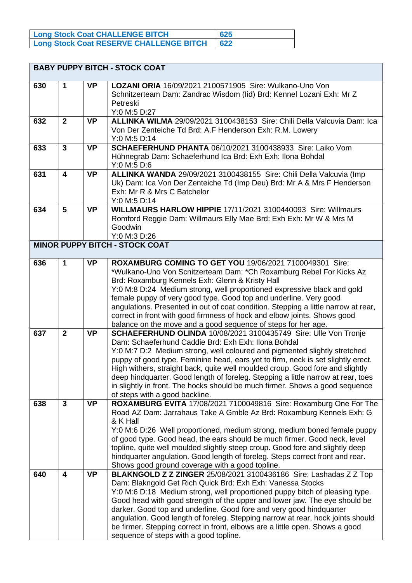| Long Stock Coat CHALLENGE BITCH                | 625    |
|------------------------------------------------|--------|
| <b>Long Stock Coat RESERVE CHALLENGE BITCH</b> | $-622$ |

|     |                         |           | <b>BABY PUPPY BITCH - STOCK COAT</b>                                                                                                                                                                                                                                                                                                                                                                                                                                                                                                                                             |
|-----|-------------------------|-----------|----------------------------------------------------------------------------------------------------------------------------------------------------------------------------------------------------------------------------------------------------------------------------------------------------------------------------------------------------------------------------------------------------------------------------------------------------------------------------------------------------------------------------------------------------------------------------------|
| 630 | $\mathbf 1$             | <b>VP</b> | LOZANI ORIA 16/09/2021 2100571905 Sire: Wulkano-Uno Von<br>Schnitzerteam Dam: Zandrac Wisdom (lid) Brd: Kennel Lozani Exh: Mr Z<br>Petreski<br>Y:0 M:5 D:27                                                                                                                                                                                                                                                                                                                                                                                                                      |
| 632 | $\overline{2}$          | <b>VP</b> | ALLINKA WILMA 29/09/2021 3100438153 Sire: Chili Della Valcuvia Dam: Ica<br>Von Der Zenteiche Td Brd: A.F Henderson Exh: R.M. Lowery<br>Y:0 M:5 D:14                                                                                                                                                                                                                                                                                                                                                                                                                              |
| 633 | $\overline{3}$          | <b>VP</b> | <b>SCHAEFERHUND PHANTA 06/10/2021 3100438933 Sire: Laiko Vom</b><br>Hühnegrab Dam: Schaeferhund Ica Brd: Exh Exh: Ilona Bohdal<br>Y:0 M:5 D:6                                                                                                                                                                                                                                                                                                                                                                                                                                    |
| 631 | $\overline{\mathbf{4}}$ | <b>VP</b> | ALLINKA WANDA 29/09/2021 3100438155 Sire: Chili Della Valcuvia (Imp<br>Uk) Dam: Ica Von Der Zenteiche Td (Imp Deu) Brd: Mr A & Mrs F Henderson<br>Exh: Mr R & Mrs C Batchelor<br>Y:0 M:5 D:14                                                                                                                                                                                                                                                                                                                                                                                    |
| 634 | 5                       | <b>VP</b> | WILLMAURS HARLOW HIPPIE 17/11/2021 3100440093 Sire: Willmaurs<br>Romford Reggie Dam: Willmaurs Elly Mae Brd: Exh Exh: Mr W & Mrs M<br>Goodwin<br>Y:0 M:3 D:26                                                                                                                                                                                                                                                                                                                                                                                                                    |
|     |                         |           | <b>MINOR PUPPY BITCH - STOCK COAT</b>                                                                                                                                                                                                                                                                                                                                                                                                                                                                                                                                            |
| 636 | $\mathbf{1}$            | <b>VP</b> | ROXAMBURG COMING TO GET YOU 19/06/2021 7100049301 Sire:<br>*Wulkano-Uno Von Scnitzerteam Dam: *Ch Roxamburg Rebel For Kicks Az<br>Brd: Roxamburg Kennels Exh: Glenn & Kristy Hall<br>Y:0 M:8 D:24 Medium strong, well proportioned expressive black and gold<br>female puppy of very good type. Good top and underline. Very good<br>angulations. Presented in out of coat condition. Stepping a little narrow at rear,<br>correct in front with good firmness of hock and elbow joints. Shows good<br>balance on the move and a good sequence of steps for her age.             |
| 637 | $\mathbf{2}$            | <b>VP</b> | SCHAEFERHUND OLINDA 10/08/2021 3100435749 Sire: Ulle Von Tronje<br>Dam: Schaeferhund Caddie Brd: Exh Exh: Ilona Bohdal<br>Y:0 M:7 D:2 Medium strong, well coloured and pigmented slightly stretched<br>puppy of good type. Feminine head, ears yet to firm, neck is set slightly erect.<br>High withers, straight back, quite well moulded croup. Good fore and slightly<br>deep hindquarter. Good length of foreleg. Stepping a little narrow at rear, toes<br>in slightly in front. The hocks should be much firmer. Shows a good sequence<br>of steps with a good backline.   |
| 638 | $\mathbf{3}$            | <b>VP</b> | ROXAMBURG EVITA 17/08/2021 7100049816 Sire: Roxamburg One For The<br>Road AZ Dam: Jarrahaus Take A Gmble Az Brd: Roxamburg Kennels Exh: G<br>& K Hall<br>Y:0 M:6 D:26 Well proportioned, medium strong, medium boned female puppy<br>of good type. Good head, the ears should be much firmer. Good neck, level<br>topline, quite well moulded slightly steep croup. Good fore and slightly deep<br>hindquarter angulation. Good length of foreleg. Steps correct front and rear.<br>Shows good ground coverage with a good topline.                                              |
| 640 | $\overline{\mathbf{4}}$ | <b>VP</b> | BLAKNGOLD Z Z ZINGER 25/08/2021 3100436186 Sire: Lashadas Z Z Top<br>Dam: Blakngold Get Rich Quick Brd: Exh Exh: Vanessa Stocks<br>Y:0 M:6 D:18 Medium strong, well proportioned puppy bitch of pleasing type.<br>Good head with good strength of the upper and lower jaw. The eye should be<br>darker. Good top and underline. Good fore and very good hindquarter<br>angulation. Good length of foreleg. Stepping narrow at rear, hock joints should<br>be firmer. Stepping correct in front, elbows are a little open. Shows a good<br>sequence of steps with a good topline. |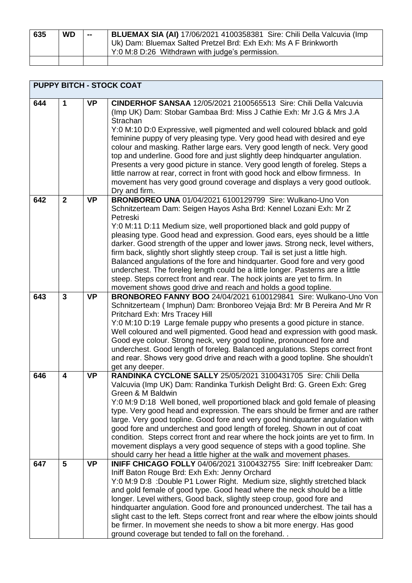| 635 | <b>WD</b> | $\sim$ | BLUEMAX SIA (AI) 17/06/2021 4100358381 Sire: Chili Della Valcuvia (Imp |
|-----|-----------|--------|------------------------------------------------------------------------|
|     |           |        | Uk) Dam: Bluemax Salted Pretzel Brd: Exh Exh: Ms A F Brinkworth        |
|     |           |        | Y:0 M:8 D:26 Withdrawn with judge's permission.                        |
|     |           |        |                                                                        |

|     | <b>PUPPY BITCH - STOCK COAT</b> |           |                                                                                                                                                                                                                                                                                                                                                                                                                                                                                                                                                                                                                                                                                                                                                                                           |  |
|-----|---------------------------------|-----------|-------------------------------------------------------------------------------------------------------------------------------------------------------------------------------------------------------------------------------------------------------------------------------------------------------------------------------------------------------------------------------------------------------------------------------------------------------------------------------------------------------------------------------------------------------------------------------------------------------------------------------------------------------------------------------------------------------------------------------------------------------------------------------------------|--|
| 644 | 1                               | <b>VP</b> | CINDERHOF SANSAA 12/05/2021 2100565513 Sire: Chili Della Valcuvia<br>(Imp UK) Dam: Stobar Gambaa Brd: Miss J Cathie Exh: Mr J.G & Mrs J.A<br>Strachan<br>Y:0 M:10 D:0 Expressive, well pigmented and well coloured bblack and gold<br>feminine puppy of very pleasing type. Very good head with desired and eye<br>colour and masking. Rather large ears. Very good length of neck. Very good<br>top and underline. Good fore and just slightly deep hindquarter angulation.<br>Presents a very good picture in stance. Very good length of foreleg. Steps a<br>little narrow at rear, correct in front with good hock and elbow firmness. In<br>movement has very good ground coverage and displays a very good outlook.<br>Dry and firm.                                                |  |
| 642 | $\overline{2}$                  | <b>VP</b> | <b>BRONBOREO UNA 01/04/2021 6100129799 Sire: Wulkano-Uno Von</b><br>Schnitzerteam Dam: Seigen Hayos Asha Brd: Kennel Lozani Exh: Mr Z<br>Petreski<br>Y:0 M:11 D:11 Medium size, well proportioned black and gold puppy of<br>pleasing type. Good head and expression. Good ears, eyes should be a little<br>darker. Good strength of the upper and lower jaws. Strong neck, level withers,<br>firm back, slightly short slightly steep croup. Tail is set just a little high.<br>Balanced angulations of the fore and hindquarter. Good fore and very good<br>underchest. The foreleg length could be a little longer. Pasterns are a little<br>steep. Steps correct front and rear. The hock joints are yet to firm. In<br>movement shows good drive and reach and holds a good topline. |  |
| 643 | 3                               | <b>VP</b> | BRONBOREO FANNY BOO 24/04/2021 6100129841 Sire: Wulkano-Uno Von<br>Schnitzerteam (Imphun) Dam: Bronboreo Vejaja Brd: Mr B Pereira And Mr R<br>Pritchard Exh: Mrs Tracey Hill<br>Y:0 M:10 D:19 Large female puppy who presents a good picture in stance.<br>Well coloured and well pigmented. Good head and expression with good mask.<br>Good eye colour. Strong neck, very good topline, pronounced fore and<br>underchest. Good length of foreleg. Balanced angulations. Steps correct front<br>and rear. Shows very good drive and reach with a good topline. She shouldn't<br>get any deeper.                                                                                                                                                                                         |  |
| 646 | 4                               | <b>VP</b> | RANDINKA CYCLONE SALLY 25/05/2021 3100431705 Sire: Chili Della<br>Valcuvia (Imp UK) Dam: Randinka Turkish Delight Brd: G. Green Exh: Greg<br>Green & M Baldwin<br>Y:0 M:9 D:18 Well boned, well proportioned black and gold female of pleasing<br>type. Very good head and expression. The ears should be firmer and are rather<br>large. Very good topline. Good fore and very good hindquarter angulation with<br>good fore and underchest and good length of foreleg. Shown in out of coat<br>condition. Steps correct front and rear where the hock joints are yet to firm. In<br>movement displays a very good sequence of steps with a good topline. She<br>should carry her head a little higher at the walk and movement phases.                                                  |  |
| 647 | 5                               | <b>VP</b> | INIFF CHICAGO FOLLY 04/06/2021 3100432755 Sire: Iniff Icebreaker Dam:<br>Iniff Baton Rouge Brd: Exh Exh: Jenny Orchard<br>Y:0 M:9 D:8 :Double P1 Lower Right. Medium size, slightly stretched black<br>and gold female of good type. Good head where the neck should be a little<br>longer. Level withers, Good back, slightly steep croup, good fore and<br>hindquarter angulation. Good fore and pronounced underchest. The tail has a<br>slight cast to the left. Steps correct front and rear where the elbow joints should<br>be firmer. In movement she needs to show a bit more energy. Has good<br>ground coverage but tended to fall on the forehand                                                                                                                             |  |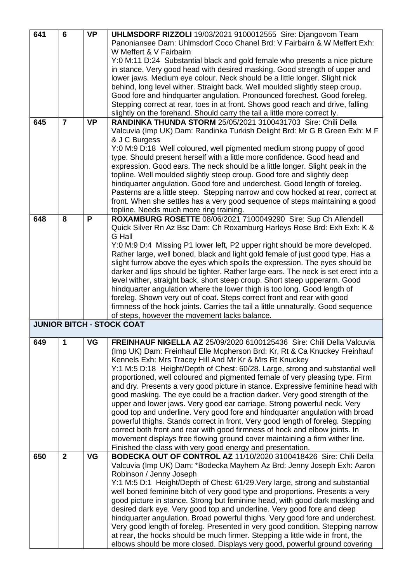| 641 | 6              | <b>VP</b> | UHLMSDORF RIZZOLI 19/03/2021 9100012555 Sire: Djangovom Team                       |
|-----|----------------|-----------|------------------------------------------------------------------------------------|
|     |                |           | Panoniansee Dam: Uhlmsdorf Coco Chanel Brd: V Fairbairn & W Meffert Exh:           |
|     |                |           | W Meffert & V Fairbairn                                                            |
|     |                |           | Y:0 M:11 D:24 Substantial black and gold female who presents a nice picture        |
|     |                |           | in stance. Very good head with desired masking. Good strength of upper and         |
|     |                |           | lower jaws. Medium eye colour. Neck should be a little longer. Slight nick         |
|     |                |           | behind, long level wither. Straight back. Well moulded slightly steep croup.       |
|     |                |           | Good fore and hindquarter angulation. Pronounced forechest. Good foreleg.          |
|     |                |           | Stepping correct at rear, toes in at front. Shows good reach and drive, falling    |
|     |                |           | slightly on the forehand. Should carry the tail a little more correct ly.          |
| 645 | $\overline{7}$ | <b>VP</b> | RANDINKA THUNDA STORM 25/05/2021 3100431703 Sire: Chili Della                      |
|     |                |           | Valcuvia (Imp UK) Dam: Randinka Turkish Delight Brd: Mr G B Green Exh: M F         |
|     |                |           | & J C Burgess                                                                      |
|     |                |           | Y:0 M:9 D:18 Well coloured, well pigmented medium strong puppy of good             |
|     |                |           | type. Should present herself with a little more confidence. Good head and          |
|     |                |           | expression. Good ears. The neck should be a little longer. Slight peak in the      |
|     |                |           | topline. Well moulded slightly steep croup. Good fore and slightly deep            |
|     |                |           | hindquarter angulation. Good fore and underchest. Good length of foreleg.          |
|     |                |           | Pasterns are a little steep. Stepping narrow and cow hocked at rear, correct at    |
|     |                |           | front. When she settles has a very good sequence of steps maintaining a good       |
|     |                |           | topline. Needs much more ring training.                                            |
| 648 | 8              | P         | ROXAMBURG ROSETTE 08/06/2021 7100049290 Sire: Sup Ch Allendell                     |
|     |                |           | Quick Silver Rn Az Bsc Dam: Ch Roxamburg Harleys Rose Brd: Exh Exh: K &            |
|     |                |           | <b>G</b> Hall                                                                      |
|     |                |           | Y:0 M:9 D:4 Missing P1 lower left, P2 upper right should be more developed.        |
|     |                |           | Rather large, well boned, black and light gold female of just good type. Has a     |
|     |                |           | slight furrow above the eyes which spoils the expression. The eyes should be       |
|     |                |           | darker and lips should be tighter. Rather large ears. The neck is set erect into a |
|     |                |           | level wither, straight back, short steep croup. Short steep upperarm. Good         |
|     |                |           | hindquarter angulation where the lower thigh is too long. Good length of           |
|     |                |           | foreleg. Shown very out of coat. Steps correct front and rear with good            |
|     |                |           | firmness of the hock joints. Carries the tail a little unnaturally. Good sequence  |
|     |                |           | of steps, however the movement lacks balance.                                      |
|     |                |           | <b>JUNIOR BITCH - STOCK COAT</b>                                                   |
| 649 | 1              | VG        | FREINHAUF NIGELLA AZ 25/09/2020 6100125436 Sire: Chili Della Valcuvia              |
|     |                |           | (Imp UK) Dam: Freinhauf Elle Mcpherson Brd: Kr, Rt & Ca Knuckey Freinhauf          |
|     |                |           | Kennels Exh: Mrs Tracey Hill And Mr Kr & Mrs Rt Knuckey                            |
|     |                |           | Y:1 M:5 D:18 Height/Depth of Chest: 60/28. Large, strong and substantial well      |
|     |                |           | proportioned, well coloured and pigmented female of very pleasing type. Firm       |
|     |                |           | and dry. Presents a very good picture in stance. Expressive feminine head with     |
|     |                |           | good masking. The eye could be a fraction darker. Very good strength of the        |
|     |                |           | upper and lower jaws. Very good ear carriage. Strong powerful neck. Very           |
|     |                |           | good top and underline. Very good fore and hindquarter angulation with broad       |
|     |                |           | powerful thighs. Stands correct in front. Very good length of foreleg. Stepping    |
|     |                |           | correct both front and rear with good firmness of hock and elbow joints. In        |
|     |                |           | movement displays free flowing ground cover maintaining a firm wither line.        |
|     |                |           | Finished the class with very good energy and presentation.                         |
| 650 | $\mathbf{2}$   | <b>VG</b> | BODECKA OUT OF CONTROL AZ 11/10/2020 3100418426 Sire: Chili Della                  |
|     |                |           | Valcuvia (Imp UK) Dam: *Bodecka Mayhem Az Brd: Jenny Joseph Exh: Aaron             |
|     |                |           | Robinson / Jenny Joseph                                                            |
|     |                |           | Y:1 M:5 D:1 Height/Depth of Chest: 61/29. Very large, strong and substantial       |
|     |                |           | well boned feminine bitch of very good type and proportions. Presents a very       |
|     |                |           | good picture in stance. Strong but feminine head, with good dark masking and       |
|     |                |           | desired dark eye. Very good top and underline. Very good fore and deep             |
|     |                |           | hindquarter angulation. Broad powerful thighs. Very good fore and underchest.      |
|     |                |           | Very good length of foreleg. Presented in very good condition. Stepping narrow     |
|     |                |           | at rear, the hocks should be much firmer. Stepping a little wide in front, the     |
|     |                |           | elbows should be more closed. Displays very good, powerful ground covering         |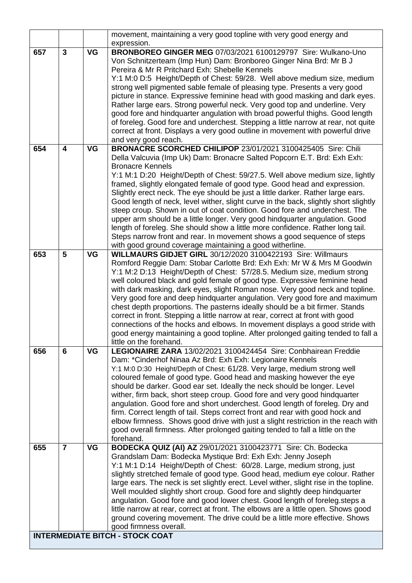| <b>INTERMEDIATE BITCH - STOCK COAT</b> |                         |           |                                                                                                                                                                                                                                                                                                                                                                                                                                                                                                                                                                                                                                                                                                                                                                                              |  |  |
|----------------------------------------|-------------------------|-----------|----------------------------------------------------------------------------------------------------------------------------------------------------------------------------------------------------------------------------------------------------------------------------------------------------------------------------------------------------------------------------------------------------------------------------------------------------------------------------------------------------------------------------------------------------------------------------------------------------------------------------------------------------------------------------------------------------------------------------------------------------------------------------------------------|--|--|
|                                        |                         |           | ground covering movement. The drive could be a little more effective. Shows<br>good firmness overall.                                                                                                                                                                                                                                                                                                                                                                                                                                                                                                                                                                                                                                                                                        |  |  |
|                                        |                         |           | Well moulded slightly short croup. Good fore and slightly deep hindquarter<br>angulation. Good fore and good lower chest. Good length of foreleg.steps a<br>little narrow at rear, correct at front. The elbows are a little open. Shows good                                                                                                                                                                                                                                                                                                                                                                                                                                                                                                                                                |  |  |
| 655                                    | $\overline{7}$          | <b>VG</b> | BODECKA QUIZ (AI) AZ 29/01/2021 3100423771 Sire: Ch. Bodecka<br>Grandslam Dam: Bodecka Mystique Brd: Exh Exh: Jenny Joseph<br>Y:1 M:1 D:14 Height/Depth of Chest: 60/28. Large, medium strong, just<br>slightly stretched female of good type. Good head, medium eye colour. Rather<br>large ears. The neck is set slightly erect. Level wither, slight rise in the topline.                                                                                                                                                                                                                                                                                                                                                                                                                 |  |  |
| 656                                    | 6                       | <b>VG</b> | LEGIONAIRE ZARA 13/02/2021 3100424454 Sire: Conbhairean Freddie<br>Dam: *Cinderhof Ninaa Az Brd: Exh Exh: Legionaire Kennels<br>Y:1 M:0 D:30 Height/Depth of Chest: 61/28. Very large, medium strong well<br>coloured female of good type. Good head and masking however the eye<br>should be darker. Good ear set. Ideally the neck should be longer. Level<br>wither, firm back, short steep croup. Good fore and very good hindquarter<br>angulation. Good fore and short underchest. Good length of foreleg. Dry and<br>firm. Correct length of tail. Steps correct front and rear with good hock and<br>elbow firmness. Shows good drive with just a slight restriction in the reach with<br>good overall firmness. After prolonged gaiting tended to fall a little on the<br>forehand. |  |  |
|                                        |                         |           | good energy maintaining a good topline. After prolonged gaiting tended to fall a<br>little on the forehand.                                                                                                                                                                                                                                                                                                                                                                                                                                                                                                                                                                                                                                                                                  |  |  |
| 653                                    | 5                       | <b>VG</b> | <b>WILLMAURS GIDJET GIRL 30/12/2020 3100422193 Sire: Willmaurs</b><br>Romford Reggie Dam: Stobar Carlotte Brd: Exh Exh: Mr W & Mrs M Goodwin<br>Y:1 M:2 D:13 Height/Depth of Chest: 57/28.5. Medium size, medium strong<br>well coloured black and gold female of good type. Expressive feminine head<br>with dark masking, dark eyes, slight Roman nose. Very good neck and topline.<br>Very good fore and deep hindquarter angulation. Very good fore and maximum<br>chest depth proportions. The pasterns ideally should be a bit firmer. Stands<br>correct in front. Stepping a little narrow at rear, correct at front with good<br>connections of the hocks and elbows. In movement displays a good stride with                                                                        |  |  |
|                                        |                         |           | upper arm should be a little longer. Very good hindquarter angulation. Good<br>length of foreleg. She should show a little more confidence. Rather long tail.<br>Steps narrow front and rear. In movement shows a good sequence of steps<br>with good ground coverage maintaining a good witherline.                                                                                                                                                                                                                                                                                                                                                                                                                                                                                         |  |  |
|                                        |                         |           | Y:1 M:1 D:20 Height/Depth of Chest: 59/27.5. Well above medium size, lightly<br>framed, slightly elongated female of good type. Good head and expression.<br>Slightly erect neck. The eye should be just a little darker. Rather large ears.<br>Good length of neck, level wither, slight curve in the back, slightly short slightly<br>steep croup. Shown in out of coat condition. Good fore and underchest. The                                                                                                                                                                                                                                                                                                                                                                           |  |  |
| 654                                    | $\overline{\mathbf{4}}$ | <b>VG</b> | BRONACRE SCORCHED CHILIPOP 23/01/2021 3100425405 Sire: Chili<br>Della Valcuvia (Imp Uk) Dam: Bronacre Salted Popcorn E.T. Brd: Exh Exh:<br><b>Bronacre Kennels</b>                                                                                                                                                                                                                                                                                                                                                                                                                                                                                                                                                                                                                           |  |  |
|                                        |                         |           | good fore and hindquarter angulation with broad powerful thighs. Good length<br>of foreleg. Good fore and underchest. Stepping a little narrow at rear, not quite<br>correct at front. Displays a very good outline in movement with powerful drive<br>and very good reach.                                                                                                                                                                                                                                                                                                                                                                                                                                                                                                                  |  |  |
|                                        |                         |           | Y:1 M:0 D:5 Height/Depth of Chest: 59/28. Well above medium size, medium<br>strong well pigmented sable female of pleasing type. Presents a very good<br>picture in stance. Expressive feminine head with good masking and dark eyes.<br>Rather large ears. Strong powerful neck. Very good top and underline. Very                                                                                                                                                                                                                                                                                                                                                                                                                                                                          |  |  |
|                                        |                         |           | Von Schnitzerteam (Imp Hun) Dam: Bronboreo Ginger Nina Brd: Mr B J<br>Pereira & Mr R Pritchard Exh: Shebelle Kennels                                                                                                                                                                                                                                                                                                                                                                                                                                                                                                                                                                                                                                                                         |  |  |
| 657                                    | $\mathbf{3}$            | <b>VG</b> | movement, maintaining a very good topline with very good energy and<br>expression.<br>BRONBOREO GINGER MEG 07/03/2021 6100129797 Sire: Wulkano-Uno                                                                                                                                                                                                                                                                                                                                                                                                                                                                                                                                                                                                                                           |  |  |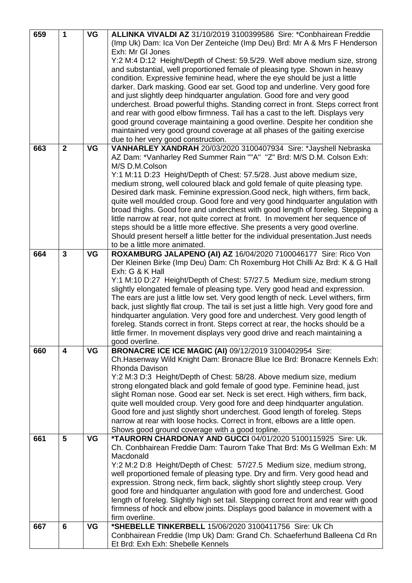| 659 | 1                       | <b>VG</b> | ALLINKA VIVALDI AZ 31/10/2019 3100399586 Sire: *Conbhairean Freddie                    |
|-----|-------------------------|-----------|----------------------------------------------------------------------------------------|
|     |                         |           | (Imp Uk) Dam: Ica Von Der Zenteiche (Imp Deu) Brd: Mr A & Mrs F Henderson              |
|     |                         |           | Exh: Mr GI Jones                                                                       |
|     |                         |           | Y:2 M:4 D:12 Height/Depth of Chest: 59.5/29. Well above medium size, strong            |
|     |                         |           | and substantial, well proportioned female of pleasing type. Shown in heavy             |
|     |                         |           |                                                                                        |
|     |                         |           | condition. Expressive feminine head, where the eye should be just a little             |
|     |                         |           | darker. Dark masking. Good ear set. Good top and underline. Very good fore             |
|     |                         |           | and just slightly deep hindquarter angulation. Good fore and very good                 |
|     |                         |           | underchest. Broad powerful thighs. Standing correct in front. Steps correct front      |
|     |                         |           | and rear with good elbow firmness. Tail has a cast to the left. Displays very          |
|     |                         |           | good ground coverage maintaining a good overline. Despite her condition she            |
|     |                         |           | maintained very good ground coverage at all phases of the gaiting exercise             |
|     |                         |           | due to her very good construction.                                                     |
| 663 | $\mathbf{2}$            | <b>VG</b> | VANHARLEY XANDRAH 20/03/2020 3100407934 Sire: *Jayshell Nebraska                       |
|     |                         |           | AZ Dam: *Vanharley Red Summer Rain ""A" "Z" Brd: M/S D.M. Colson Exh:                  |
|     |                         |           | M/S D.M.Colson                                                                         |
|     |                         |           | Y:1 M:11 D:23 Height/Depth of Chest: 57.5/28. Just above medium size,                  |
|     |                         |           | medium strong, well coloured black and gold female of quite pleasing type.             |
|     |                         |           | Desired dark mask. Feminine expression. Good neck, high withers, firm back,            |
|     |                         |           |                                                                                        |
|     |                         |           | quite well moulded croup. Good fore and very good hindquarter angulation with          |
|     |                         |           | broad thighs. Good fore and underchest with good length of foreleg. Stepping a         |
|     |                         |           | little narrow at rear, not quite correct at front. In movement her sequence of         |
|     |                         |           | steps should be a little more effective. She presents a very good overline.            |
|     |                         |           | Should present herself a little better for the individual presentation. Just needs     |
|     |                         |           | to be a little more animated.                                                          |
| 664 | $\overline{\mathbf{3}}$ | <b>VG</b> | ROXAMBURG JALAPENO (AI) AZ 16/04/2020 7100046177 Sire: Rico Von                        |
|     |                         |           | Der Kleinen Birke (Imp Deu) Dam: Ch Roxemburg Hot Chilli Az Brd: K & G Hall            |
|     |                         |           | Exh: G & K Hall                                                                        |
|     |                         |           | Y:1 M:10 D:27 Height/Depth of Chest: 57/27.5 Medium size, medium strong                |
|     |                         |           | slightly elongated female of pleasing type. Very good head and expression.             |
|     |                         |           | The ears are just a little low set. Very good length of neck. Level withers, firm      |
|     |                         |           | back, just slightly flat croup. The tail is set just a little high. Very good fore and |
|     |                         |           | hindquarter angulation. Very good fore and underchest. Very good length of             |
|     |                         |           | foreleg. Stands correct in front. Steps correct at rear, the hocks should be a         |
|     |                         |           | little firmer. In movement displays very good drive and reach maintaining a            |
|     |                         |           | good overline.                                                                         |
| 660 | $\overline{\mathbf{4}}$ | <b>VG</b> | <b>BRONACRE ICE ICE MAGIC (AI) 09/12/2019 3100402954 Sire:</b>                         |
|     |                         |           | Ch. Hasenway Wild Knight Dam: Bronacre Blue Ice Brd: Bronacre Kennels Exh:             |
|     |                         |           | Rhonda Davison                                                                         |
|     |                         |           | Y:2 M:3 D:3 Height/Depth of Chest: 58/28. Above medium size, medium                    |
|     |                         |           | strong elongated black and gold female of good type. Feminine head, just               |
|     |                         |           |                                                                                        |
|     |                         |           | slight Roman nose. Good ear set. Neck is set erect. High withers, firm back,           |
|     |                         |           | quite well moulded croup. Very good fore and deep hindquarter angulation.              |
|     |                         |           | Good fore and just slightly short underchest. Good length of foreleg. Steps            |
|     |                         |           | narrow at rear with loose hocks. Correct in front, elbows are a little open.           |
|     |                         |           | Shows good ground coverage with a good topline.                                        |
| 661 | $5\phantom{1}$          | <b>VG</b> | *TAURORN CHARDONAY AND GUCCI 04/01/2020 5100115925 Sire: Uk.                           |
|     |                         |           | Ch. Conbhairean Freddie Dam: Taurorn Take That Brd: Ms G Wellman Exh: M                |
|     |                         |           | Macdonald                                                                              |
|     |                         |           | Y:2 M:2 D:8 Height/Depth of Chest: 57/27.5 Medium size, medium strong,                 |
|     |                         |           | well proportioned female of pleasing type. Dry and firm. Very good head and            |
|     |                         |           | expression. Strong neck, firm back, slightly short slightly steep croup. Very          |
|     |                         |           | good fore and hindquarter angulation with good fore and underchest. Good               |
|     |                         |           | length of foreleg. Slightly high set tail. Stepping correct front and rear with good   |
|     |                         |           | firmness of hock and elbow joints. Displays good balance in movement with a            |
|     |                         |           | firm overline.                                                                         |
| 667 | 6                       | <b>VG</b> | *SHEBELLE TINKERBELL 15/06/2020 3100411756 Sire: Uk Ch                                 |
|     |                         |           | Conbhairean Freddie (Imp Uk) Dam: Grand Ch. Schaeferhund Balleena Cd Rn                |
|     |                         |           | Et Brd: Exh Exh: Shebelle Kennels                                                      |
|     |                         |           |                                                                                        |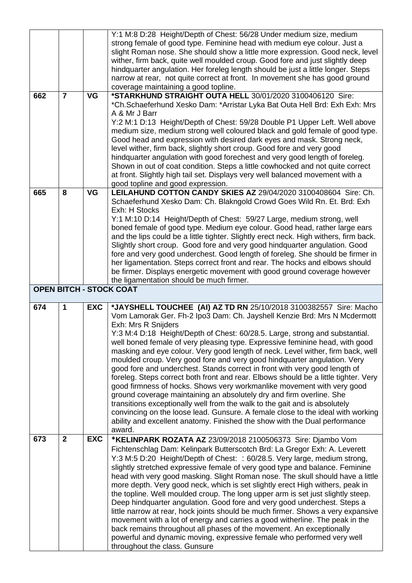|     |                |            | Y:1 M:8 D:28 Height/Depth of Chest: 56/28 Under medium size, medium                                     |
|-----|----------------|------------|---------------------------------------------------------------------------------------------------------|
|     |                |            | strong female of good type. Feminine head with medium eye colour. Just a                                |
|     |                |            | slight Roman nose. She should show a little more expression. Good neck, level                           |
|     |                |            | wither, firm back, quite well moulded croup. Good fore and just slightly deep                           |
|     |                |            | hindquarter angulation. Her foreleg length should be just a little longer. Steps                        |
|     |                |            | narrow at rear, not quite correct at front. In movement she has good ground                             |
|     |                |            | coverage maintaining a good topline.                                                                    |
| 662 | $\overline{7}$ | <b>VG</b>  | *STARKHUND STRAIGHT OUTA HELL 30/01/2020 3100406120 Sire:                                               |
|     |                |            | *Ch.Schaeferhund Xesko Dam: *Arristar Lyka Bat Outa Hell Brd: Exh Exh: Mrs                              |
|     |                |            | A & Mr J Barr                                                                                           |
|     |                |            | Y:2 M:1 D:13 Height/Depth of Chest: 59/28 Double P1 Upper Left. Well above                              |
|     |                |            |                                                                                                         |
|     |                |            | medium size, medium strong well coloured black and gold female of good type.                            |
|     |                |            | Good head and expression with desired dark eyes and mask. Strong neck,                                  |
|     |                |            | level wither, firm back, slightly short croup. Good fore and very good                                  |
|     |                |            | hindquarter angulation with good forechest and very good length of foreleg.                             |
|     |                |            | Shown in out of coat condition. Steps a little cowhocked and not quite correct                          |
|     |                |            | at front. Slightly high tail set. Displays very well balanced movement with a                           |
|     |                |            | good topline and good expression.                                                                       |
| 665 | 8              | <b>VG</b>  | LEILAHUND COTTON CANDY SKIES AZ 29/04/2020 3100408604 Sire: Ch.                                         |
|     |                |            | Schaeferhund Xesko Dam: Ch. Blakngold Crowd Goes Wild Rn. Et. Brd: Exh                                  |
|     |                |            | Exh: H Stocks                                                                                           |
|     |                |            | Y:1 M:10 D:14 Height/Depth of Chest: 59/27 Large, medium strong, well                                   |
|     |                |            | boned female of good type. Medium eye colour. Good head, rather large ears                              |
|     |                |            | and the lips could be a little tighter. Slightly erect neck. High withers, firm back.                   |
|     |                |            | Slightly short croup. Good fore and very good hindquarter angulation. Good                              |
|     |                |            | fore and very good underchest. Good length of foreleg. She should be firmer in                          |
|     |                |            | her ligamentation. Steps correct front and rear. The hocks and elbows should                            |
|     |                |            | be firmer. Displays energetic movement with good ground coverage however                                |
|     |                |            | the ligamentation should be much firmer.                                                                |
|     |                |            | <b>OPEN BITCH - STOCK COAT</b>                                                                          |
|     |                |            |                                                                                                         |
|     |                |            |                                                                                                         |
| 674 | 1              | <b>EXC</b> | *JAYSHELL TOUCHEE (AI) AZ TD RN 25/10/2018 3100382557 Sire: Macho                                       |
|     |                |            | Vom Lamorak Ger. Fh-2 Ipo3 Dam: Ch. Jayshell Kenzie Brd: Mrs N Mcdermott                                |
|     |                |            | Exh: Mrs R Snijders                                                                                     |
|     |                |            | Y:3 M:4 D:18 Height/Depth of Chest: 60/28.5. Large, strong and substantial.                             |
|     |                |            | well boned female of very pleasing type. Expressive feminine head, with good                            |
|     |                |            | masking and eye colour. Very good length of neck. Level wither, firm back, well                         |
|     |                |            | moulded croup. Very good fore and very good hindquarter angulation. Very                                |
|     |                |            | good fore and underchest. Stands correct in front with very good length of                              |
|     |                |            | foreleg. Steps correct both front and rear. Elbows should be a little tighter. Very                     |
|     |                |            | good firmness of hocks. Shows very workmanlike movement with very good                                  |
|     |                |            | ground coverage maintaining an absolutely dry and firm overline. She                                    |
|     |                |            | transitions exceptionally well from the walk to the gait and is absolutely                              |
|     |                |            | convincing on the loose lead. Gunsure. A female close to the ideal with working                         |
|     |                |            | ability and excellent anatomy. Finished the show with the Dual performance                              |
|     |                |            | award.                                                                                                  |
| 673 | $\overline{2}$ | <b>EXC</b> |                                                                                                         |
|     |                |            | *KELINPARK ROZATA AZ 23/09/2018 2100506373 Sire: Djambo Vom                                             |
|     |                |            | Fichtenschlag Dam: Kelinpark Butterscotch Brd: La Gregor Exh: A. Leverett                               |
|     |                |            | Y:3 M:5 D:20 Height/Depth of Chest: : 60/28.5. Very large, medium strong,                               |
|     |                |            | slightly stretched expressive female of very good type and balance. Feminine                            |
|     |                |            | head with very good masking. Slight Roman nose. The skull should have a little                          |
|     |                |            | more depth. Very good neck, which is set slightly erect High withers, peak in                           |
|     |                |            | the topline. Well moulded croup. The long upper arm is set just slightly steep.                         |
|     |                |            | Deep hindquarter angulation. Good fore and very good underchest. Steps a                                |
|     |                |            | little narrow at rear, hock joints should be much firmer. Shows a very expansive                        |
|     |                |            | movement with a lot of energy and carries a good witherline. The peak in the                            |
|     |                |            | back remains throughout all phases of the movement. An exceptionally                                    |
|     |                |            | powerful and dynamic moving, expressive female who performed very well<br>throughout the class. Gunsure |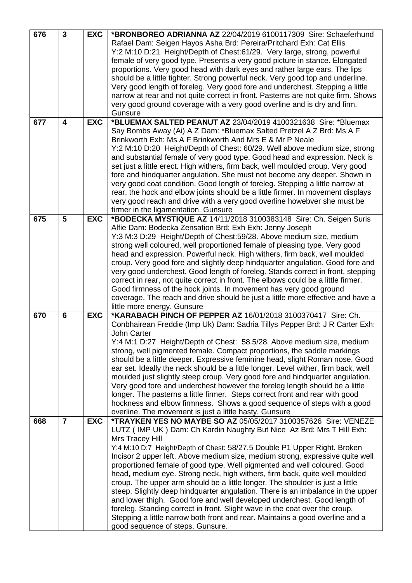| 676 | $\overline{3}$ | <b>EXC</b> | *BRONBOREO ADRIANNA AZ 22/04/2019 6100117309 Sire: Schaeferhund                    |
|-----|----------------|------------|------------------------------------------------------------------------------------|
|     |                |            | Rafael Dam: Seigen Hayos Asha Brd: Pereira/Pritchard Exh: Cat Ellis                |
|     |                |            | Y:2 M:10 D:21 Height/Depth of Chest:61/29. Very large, strong, powerful            |
|     |                |            | female of very good type. Presents a very good picture in stance. Elongated        |
|     |                |            | proportions. Very good head with dark eyes and rather large ears. The lips         |
|     |                |            | should be a little tighter. Strong powerful neck. Very good top and underline.     |
|     |                |            | Very good length of foreleg. Very good fore and underchest. Stepping a little      |
|     |                |            | narrow at rear and not quite correct in front. Pasterns are not quite firm. Shows  |
|     |                |            | very good ground coverage with a very good overline and is dry and firm.           |
|     |                |            | Gunsure                                                                            |
| 677 | 4              | <b>EXC</b> | *BLUEMAX SALTED PEANUT AZ 23/04/2019 4100321638 Sire: *Bluemax                     |
|     |                |            | Say Bombs Away (Ai) A Z Dam: *Bluemax Salted Pretzel A Z Brd: Ms A F               |
|     |                |            | Brinkworth Exh: Ms A F Brinkworth And Mrs E & Mr P Neale                           |
|     |                |            | Y:2 M:10 D:20 Height/Depth of Chest: 60/29. Well above medium size, strong         |
|     |                |            | and substantial female of very good type. Good head and expression. Neck is        |
|     |                |            | set just a little erect. High withers, firm back, well moulded croup. Very good    |
|     |                |            | fore and hindquarter angulation. She must not become any deeper. Shown in          |
|     |                |            | very good coat condition. Good length of foreleg. Stepping a little narrow at      |
|     |                |            | rear, the hock and elbow joints should be a little firmer. In movement displays    |
|     |                |            | very good reach and drive with a very good overline howebver she must be           |
|     |                |            | firmer in the ligamentation. Gunsure                                               |
| 675 | 5              | <b>EXC</b> | *BODECKA MYSTIQUE AZ 14/11/2018 3100383148 Sire: Ch. Seigen Suris                  |
|     |                |            | Alfie Dam: Bodecka Zensation Brd: Exh Exh: Jenny Joseph                            |
|     |                |            | Y:3 M:3 D:29 Height/Depth of Chest:59/28. Above medium size, medium                |
|     |                |            | strong well coloured, well proportioned female of pleasing type. Very good         |
|     |                |            | head and expression. Powerful neck. High withers, firm back, well moulded          |
|     |                |            | croup. Very good fore and slightly deep hindquarter angulation. Good fore and      |
|     |                |            | very good underchest. Good length of foreleg. Stands correct in front, stepping    |
|     |                |            | correct in rear, not quite correct in front. The elbows could be a little firmer.  |
|     |                |            | Good firmness of the hock joints. In movement has very good ground                 |
|     |                |            | coverage. The reach and drive should be just a little more effective and have a    |
|     |                |            | little more energy. Gunsure                                                        |
| 670 | $6\phantom{1}$ | <b>EXC</b> | *KARABACH PINCH OF PEPPER AZ 16/01/2018 3100370417 Sire: Ch.                       |
|     |                |            | Conbhairean Freddie (Imp Uk) Dam: Sadria Tillys Pepper Brd: J R Carter Exh:        |
|     |                |            | John Carter                                                                        |
|     |                |            | Y:4 M:1 D:27 Height/Depth of Chest: 58.5/28. Above medium size, medium             |
|     |                |            | strong, well pigmented female. Compact proportions, the saddle markings            |
|     |                |            | should be a little deeper. Expressive feminine head, slight Roman nose. Good       |
|     |                |            | ear set. Ideally the neck should be a little longer. Level wither, firm back, well |
|     |                |            | moulded just slightly steep croup. Very good fore and hindquarter angulation.      |
|     |                |            | Very good fore and underchest however the foreleg length should be a little        |
|     |                |            | longer. The pasterns a little firmer. Steps correct front and rear with good       |
|     |                |            | hockness and elbow firmness. Shows a good sequence of steps with a good            |
|     |                |            | overline. The movement is just a little hasty. Gunsure                             |
| 668 | $\overline{7}$ | <b>EXC</b> | *TRAYKEN YES NO MAYBE SO AZ 05/05/2017 3100357626 Sire: VENEZE                     |
|     |                |            | LUTZ (IMP UK) Dam: Ch Kardin Naughty But Nice Az Brd: Mrs T Hill Exh:              |
|     |                |            | Mrs Tracey Hill                                                                    |
|     |                |            | Y:4 M:10 D:7 Height/Depth of Chest: 58/27.5 Double P1 Upper Right. Broken          |
|     |                |            | Incisor 2 upper left. Above medium size, medium strong, expressive quite well      |
|     |                |            | proportioned female of good type. Well pigmented and well coloured. Good           |
|     |                |            | head, medium eye. Strong neck, high withers, firm back, quite well moulded         |
|     |                |            | croup. The upper arm should be a little longer. The shoulder is just a little      |
|     |                |            | steep. Slightly deep hindquarter angulation. There is an imbalance in the upper    |
|     |                |            | and lower thigh. Good fore and well developed underchest. Good length of           |
|     |                |            | foreleg. Standing correct in front. Slight wave in the coat over the croup.        |
|     |                |            | Stepping a little narrow both front and rear. Maintains a good overline and a      |
|     |                |            | good sequence of steps. Gunsure.                                                   |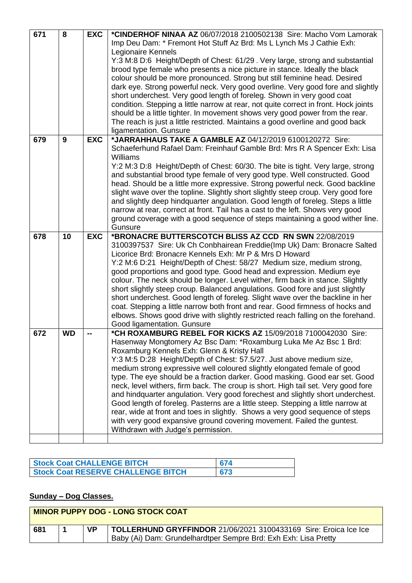| 671 | 8         | <b>EXC</b> | *CINDERHOF NINAA AZ 06/07/2018 2100502138 Sire: Macho Vom Lamorak                    |
|-----|-----------|------------|--------------------------------------------------------------------------------------|
|     |           |            | Imp Deu Dam: * Fremont Hot Stuff Az Brd: Ms L Lynch Ms J Cathie Exh:                 |
|     |           |            | Legionaire Kennels                                                                   |
|     |           |            | Y:3 M:8 D:6 Height/Depth of Chest: 61/29 . Very large, strong and substantial        |
|     |           |            | brood type female who presents a nice picture in stance. Ideally the black           |
|     |           |            |                                                                                      |
|     |           |            | colour should be more pronounced. Strong but still feminine head. Desired            |
|     |           |            | dark eye. Strong powerful neck. Very good overline. Very good fore and slightly      |
|     |           |            | short underchest. Very good length of foreleg. Shown in very good coat               |
|     |           |            | condition. Stepping a little narrow at rear, not quite correct in front. Hock joints |
|     |           |            | should be a little tighter. In movement shows very good power from the rear.         |
|     |           |            | The reach is just a little restricted. Maintains a good overline and good back       |
|     |           |            | ligamentation. Gunsure                                                               |
| 679 | 9         | <b>EXC</b> | *JARRAHHAUS TAKE A GAMBLE AZ 04/12/2019 6100120272 Sire:                             |
|     |           |            | Schaeferhund Rafael Dam: Freinhauf Gamble Brd: Mrs R A Spencer Exh: Lisa             |
|     |           |            | <b>Williams</b>                                                                      |
|     |           |            | Y:2 M:3 D:8 Height/Depth of Chest: 60/30. The bite is tight. Very large, strong      |
|     |           |            | and substantial brood type female of very good type. Well constructed. Good          |
|     |           |            | head. Should be a little more expressive. Strong powerful neck. Good backline        |
|     |           |            | slight wave over the topline. Slightly short slightly steep croup. Very good fore    |
|     |           |            | and slightly deep hindquarter angulation. Good length of foreleg. Steps a little     |
|     |           |            |                                                                                      |
|     |           |            | narrow at rear, correct at front. Tail has a cast to the left. Shows very good       |
|     |           |            | ground coverage with a good sequence of steps maintaining a good wither line.        |
|     |           |            | Gunsure                                                                              |
| 678 | 10        | <b>EXC</b> | *BRONACRE BUTTERSCOTCH BLISS AZ CCD RN SWN 22/08/2019                                |
|     |           |            | 3100397537 Sire: Uk Ch Conbhairean Freddie(Imp Uk) Dam: Bronacre Salted              |
|     |           |            | Licorice Brd: Bronacre Kennels Exh: Mr P & Mrs D Howard                              |
|     |           |            | Y:2 M:6 D:21 Height/Depth of Chest: 58/27 Medium size, medium strong,                |
|     |           |            | good proportions and good type. Good head and expression. Medium eye                 |
|     |           |            | colour. The neck should be longer. Level wither, firm back in stance. Slightly       |
|     |           |            | short slightly steep croup. Balanced angulations. Good fore and just slightly        |
|     |           |            | short underchest. Good length of foreleg. Slight wave over the backline in her       |
|     |           |            | coat. Stepping a little narrow both front and rear. Good firmness of hocks and       |
|     |           |            | elbows. Shows good drive with slightly restricted reach falling on the forehand.     |
|     |           |            | Good ligamentation. Gunsure                                                          |
| 672 | <b>WD</b> | --         | *CH ROXAMBURG REBEL FOR KICKS AZ 15/09/2018 7100042030 Sire:                         |
|     |           |            | Hasenway Mongtomery Az Bsc Dam: *Roxamburg Luka Me Az Bsc 1 Brd:                     |
|     |           |            | Roxamburg Kennels Exh: Glenn & Kristy Hall                                           |
|     |           |            | Y:3 M:5 D:28 Height/Depth of Chest: 57.5/27. Just above medium size,                 |
|     |           |            | medium strong expressive well coloured slightly elongated female of good             |
|     |           |            | type. The eye should be a fraction darker. Good masking. Good ear set. Good          |
|     |           |            | neck, level withers, firm back. The croup is short. High tail set. Very good fore    |
|     |           |            |                                                                                      |
|     |           |            | and hindquarter angulation. Very good forechest and slightly short underchest.       |
|     |           |            | Good length of foreleg. Pasterns are a little steep. Stepping a little narrow at     |
|     |           |            | rear, wide at front and toes in slightly. Shows a very good sequence of steps        |
|     |           |            | with very good expansive ground covering movement. Failed the guntest.               |
|     |           |            | Withdrawn with Judge's permission.                                                   |
|     |           |            |                                                                                      |

| <b>Stock Coat CHALLENGE BITCH</b>         | 674 |
|-------------------------------------------|-----|
| <b>Stock Coat RESERVE CHALLENGE BITCH</b> | 673 |

## **Sunday – Dog Classes.**

|     | <b>MINOR PUPPY DOG - LONG STOCK COAT</b> |  |                                                                  |
|-----|------------------------------------------|--|------------------------------------------------------------------|
| 681 |                                          |  | TOLLERHUND GRYFFINDOR 21/06/2021 3100433169 Sire: Eroica Ice Ice |
|     |                                          |  | Baby (Ai) Dam: Grundelhardtper Sempre Brd: Exh Exh: Lisa Pretty  |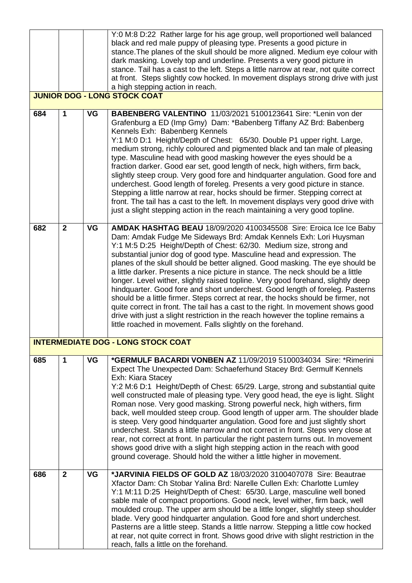|     |                |           | Y:0 M:8 D:22 Rather large for his age group, well proportioned well balanced                                                                                                                                                                                                                                                                                                                                                                                                                                                                                                                                                                                                                                                                                                                                                                                                                                                                                 |
|-----|----------------|-----------|--------------------------------------------------------------------------------------------------------------------------------------------------------------------------------------------------------------------------------------------------------------------------------------------------------------------------------------------------------------------------------------------------------------------------------------------------------------------------------------------------------------------------------------------------------------------------------------------------------------------------------------------------------------------------------------------------------------------------------------------------------------------------------------------------------------------------------------------------------------------------------------------------------------------------------------------------------------|
|     |                |           | black and red male puppy of pleasing type. Presents a good picture in<br>stance. The planes of the skull should be more aligned. Medium eye colour with                                                                                                                                                                                                                                                                                                                                                                                                                                                                                                                                                                                                                                                                                                                                                                                                      |
|     |                |           | dark masking. Lovely top and underline. Presents a very good picture in                                                                                                                                                                                                                                                                                                                                                                                                                                                                                                                                                                                                                                                                                                                                                                                                                                                                                      |
|     |                |           | stance. Tail has a cast to the left. Steps a little narrow at rear, not quite correct                                                                                                                                                                                                                                                                                                                                                                                                                                                                                                                                                                                                                                                                                                                                                                                                                                                                        |
|     |                |           | at front. Steps slightly cow hocked. In movement displays strong drive with just                                                                                                                                                                                                                                                                                                                                                                                                                                                                                                                                                                                                                                                                                                                                                                                                                                                                             |
|     |                |           | a high stepping action in reach.<br><b>JUNIOR DOG - LONG STOCK COAT</b>                                                                                                                                                                                                                                                                                                                                                                                                                                                                                                                                                                                                                                                                                                                                                                                                                                                                                      |
|     |                |           |                                                                                                                                                                                                                                                                                                                                                                                                                                                                                                                                                                                                                                                                                                                                                                                                                                                                                                                                                              |
| 684 | 1              | VG        | BABENBERG VALENTINO 11/03/2021 5100123641 Sire: *Lenin von der<br>Grafenburg a ED (Imp Gmy) Dam: *Babenberg Tiffany AZ Brd: Babenberg<br>Kennels Exh: Babenberg Kennels<br>Y:1 M:0 D:1 Height/Depth of Chest: 65/30. Double P1 upper right. Large,<br>medium strong, richly coloured and pigmented black and tan male of pleasing<br>type. Masculine head with good masking however the eyes should be a<br>fraction darker. Good ear set, good length of neck, high withers, firm back,                                                                                                                                                                                                                                                                                                                                                                                                                                                                     |
|     |                |           | slightly steep croup. Very good fore and hindquarter angulation. Good fore and<br>underchest. Good length of foreleg. Presents a very good picture in stance.<br>Stepping a little narrow at rear, hocks should be firmer. Stepping correct at<br>front. The tail has a cast to the left. In movement displays very good drive with<br>just a slight stepping action in the reach maintaining a very good topline.                                                                                                                                                                                                                                                                                                                                                                                                                                                                                                                                           |
| 682 | $\overline{2}$ | <b>VG</b> | AMDAK HASHTAG BEAU 18/09/2020 4100345508 Sire: Eroica Ice Ice Baby<br>Dam: Amdak Fudge Me Sideways Brd: Amdak Kennels Exh: Lori Huysman<br>Y:1 M:5 D:25 Height/Depth of Chest: 62/30. Medium size, strong and<br>substantial junior dog of good type. Masculine head and expression. The<br>planes of the skull should be better aligned. Good masking. The eye should be<br>a little darker. Presents a nice picture in stance. The neck should be a little<br>longer. Level wither, slightly raised topline. Very good forehand, slightly deep<br>hindquarter. Good fore and short underchest. Good length of foreleg. Pasterns<br>should be a little firmer. Steps correct at rear, the hocks should be firmer, not<br>quite correct in front. The tail has a cast to the right. In movement shows good<br>drive with just a slight restriction in the reach however the topline remains a<br>little roached in movement. Falls slightly on the forehand. |
|     |                |           | <b>INTERMEDIATE DOG - LONG STOCK COAT</b>                                                                                                                                                                                                                                                                                                                                                                                                                                                                                                                                                                                                                                                                                                                                                                                                                                                                                                                    |
| 685 | 1              | VG        | *GERMULF BACARDI VONBEN AZ 11/09/2019 5100034034 Sire: *Rimerini<br>Expect The Unexpected Dam: Schaeferhund Stacey Brd: Germulf Kennels<br>Exh: Kiara Stacey                                                                                                                                                                                                                                                                                                                                                                                                                                                                                                                                                                                                                                                                                                                                                                                                 |
|     |                |           | Y:2 M:6 D:1 Height/Depth of Chest: 65/29. Large, strong and substantial quite<br>well constructed male of pleasing type. Very good head, the eye is light. Slight<br>Roman nose. Very good masking. Strong powerful neck, high withers, firm<br>back, well moulded steep croup. Good length of upper arm. The shoulder blade<br>is steep. Very good hindquarter angulation. Good fore and just slightly short<br>underchest. Stands a little narrow and not correct in front. Steps very close at<br>rear, not correct at front. In particular the right pastern turns out. In movement<br>shows good drive with a slight high stepping action in the reach with good<br>ground coverage. Should hold the wither a little higher in movement.                                                                                                                                                                                                                |
| 686 | $\overline{2}$ | <b>VG</b> | *JARVINIA FIELDS OF GOLD AZ 18/03/2020 3100407078 Sire: Beautrae<br>Xfactor Dam: Ch Stobar Yalina Brd: Narelle Cullen Exh: Charlotte Lumley<br>Y:1 M:11 D:25 Height/Depth of Chest: 65/30. Large, masculine well boned<br>sable male of compact proportions. Good neck, level wither, firm back, well<br>moulded croup. The upper arm should be a little longer, slightly steep shoulder<br>blade. Very good hindquarter angulation. Good fore and short underchest.<br>Pasterns are a little steep. Stands a little narrow. Stepping a little cow hocked<br>at rear, not quite correct in front. Shows good drive with slight restriction in the                                                                                                                                                                                                                                                                                                            |
|     |                |           | reach, falls a little on the forehand.                                                                                                                                                                                                                                                                                                                                                                                                                                                                                                                                                                                                                                                                                                                                                                                                                                                                                                                       |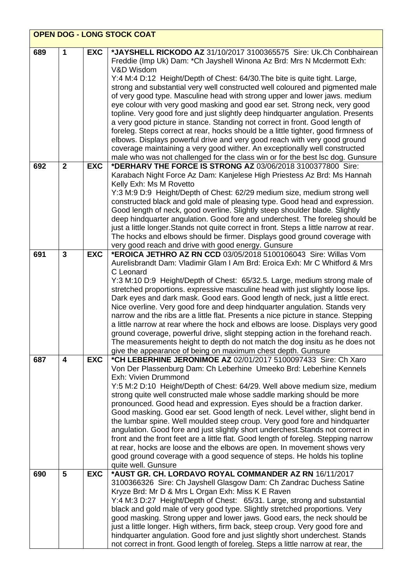|     | <b>OPEN DOG - LONG STOCK COAT</b> |            |                                                                                                                                                                         |  |
|-----|-----------------------------------|------------|-------------------------------------------------------------------------------------------------------------------------------------------------------------------------|--|
| 689 | 1                                 | <b>EXC</b> | *JAYSHELL RICKODO AZ 31/10/2017 3100365575 Sire: Uk.Ch Conbhairean<br>Freddie (Imp Uk) Dam: * Ch Jayshell Winona Az Brd: Mrs N Mcdermott Exh:                           |  |
|     |                                   |            | V&D Wisdom                                                                                                                                                              |  |
|     |                                   |            | Y:4 M:4 D:12 Height/Depth of Chest: 64/30. The bite is quite tight. Large,<br>strong and substantial very well constructed well coloured and pigmented male             |  |
|     |                                   |            | of very good type. Masculine head with strong upper and lower jaws. medium                                                                                              |  |
|     |                                   |            | eye colour with very good masking and good ear set. Strong neck, very good                                                                                              |  |
|     |                                   |            | topline. Very good fore and just slightly deep hindquarter angulation. Presents                                                                                         |  |
|     |                                   |            | a very good picture in stance. Standing not correct in front. Good length of<br>foreleg. Steps correct at rear, hocks should be a little tighter, good firmness of      |  |
|     |                                   |            | elbows. Displays powerful drive and very good reach with very good ground                                                                                               |  |
|     |                                   |            | coverage maintaining a very good wither. An exceptionally well constructed                                                                                              |  |
|     |                                   |            | male who was not challenged for the class win or for the best lsc dog. Gunsure                                                                                          |  |
| 692 | $\overline{2}$                    | <b>EXC</b> | *DERHARV THE FORCE IS STRONG AZ 03/06/2018 3100377800 Sire:                                                                                                             |  |
|     |                                   |            | Karabach Night Force Az Dam: Kanjelese High Priestess Az Brd: Ms Hannah<br>Kelly Exh: Ms M Rovetto                                                                      |  |
|     |                                   |            | Y:3 M:9 D:9 Height/Depth of Chest: 62/29 medium size, medium strong well                                                                                                |  |
|     |                                   |            | constructed black and gold male of pleasing type. Good head and expression.                                                                                             |  |
|     |                                   |            | Good length of neck, good overline. Slightly steep shoulder blade. Slightly                                                                                             |  |
|     |                                   |            | deep hindquarter angulation. Good fore and underchest. The foreleg should be<br>just a little longer. Stands not quite correct in front. Steps a little narrow at rear. |  |
|     |                                   |            | The hocks and elbows should be firmer. Displays good ground coverage with                                                                                               |  |
|     |                                   |            | very good reach and drive with good energy. Gunsure                                                                                                                     |  |
| 691 | $\overline{3}$                    | <b>EXC</b> | *EROICA JETHRO AZ RN CCD 03/05/2018 5100106043 Sire: Willas Vom                                                                                                         |  |
|     |                                   |            | Aurelisbrandt Dam: Vladimir Glam I Am Brd: Eroica Exh: Mr C Whitford & Mrs<br>C Leonard                                                                                 |  |
|     |                                   |            | Y:3 M:10 D:9 Height/Depth of Chest: 65/32.5. Large, medium strong male of                                                                                               |  |
|     |                                   |            | stretched proportions. expressive masculine head with just slightly loose lips.                                                                                         |  |
|     |                                   |            | Dark eyes and dark mask. Good ears. Good length of neck, just a little erect.                                                                                           |  |
|     |                                   |            | Nice overline. Very good fore and deep hindquarter angulation. Stands very<br>narrow and the ribs are a little flat. Presents a nice picture in stance. Stepping        |  |
|     |                                   |            | a little narrow at rear where the hock and elbows are loose. Displays very good                                                                                         |  |
|     |                                   |            | ground coverage, powerful drive, slight stepping action in the forehand reach.                                                                                          |  |
|     |                                   |            | The measurements height to depth do not match the dog insitu as he does not                                                                                             |  |
|     | 4                                 |            | give the appearance of being on maximum chest depth. Gunsure<br>*CH LEBERHINE JERONIMOE AZ 02/01/2017 5100097433 Sire: Ch Xaro                                          |  |
| 687 |                                   | <b>EXC</b> | Von Der Plassenburg Dam: Ch Leberhine Umeeko Brd: Leberhine Kennels                                                                                                     |  |
|     |                                   |            | Exh: Vivien Drummond                                                                                                                                                    |  |
|     |                                   |            | Y:5 M:2 D:10 Height/Depth of Chest: 64/29. Well above medium size, medium                                                                                               |  |
|     |                                   |            | strong quite well constructed male whose saddle marking should be more                                                                                                  |  |
|     |                                   |            | pronounced. Good head and expression. Eyes should be a fraction darker.<br>Good masking. Good ear set. Good length of neck. Level wither, slight bend in                |  |
|     |                                   |            | the lumbar spine. Well moulded steep croup. Very good fore and hindquarter                                                                                              |  |
|     |                                   |            | angulation. Good fore and just slightly short underchest. Stands not correct in                                                                                         |  |
|     |                                   |            | front and the front feet are a little flat. Good length of foreleg. Stepping narrow<br>at rear, hocks are loose and the elbows are open. In movement shows very         |  |
|     |                                   |            | good ground coverage with a good sequence of steps. He holds his topline                                                                                                |  |
|     |                                   |            | quite well. Gunsure                                                                                                                                                     |  |
| 690 | 5                                 | <b>EXC</b> | *AUST GR. CH. LORDAVO ROYAL COMMANDER AZ RN 16/11/2017                                                                                                                  |  |
|     |                                   |            | 3100366326 Sire: Ch Jayshell Glasgow Dam: Ch Zandrac Duchess Satine<br>Kryze Brd: Mr D & Mrs L Organ Exh: Miss K E Raven                                                |  |
|     |                                   |            | Y:4 M:3 D:27 Height/Depth of Chest: 65/31. Large, strong and substantial                                                                                                |  |
|     |                                   |            | black and gold male of very good type. Slightly stretched proportions. Very                                                                                             |  |
|     |                                   |            | good masking. Strong upper and lower jaws. Good ears, the neck should be                                                                                                |  |
|     |                                   |            | just a little longer. High withers, firm back, steep croup. Very good fore and<br>hindquarter angulation. Good fore and just slightly short underchest. Stands          |  |
|     |                                   |            | not correct in front. Good length of foreleg. Steps a little narrow at rear, the                                                                                        |  |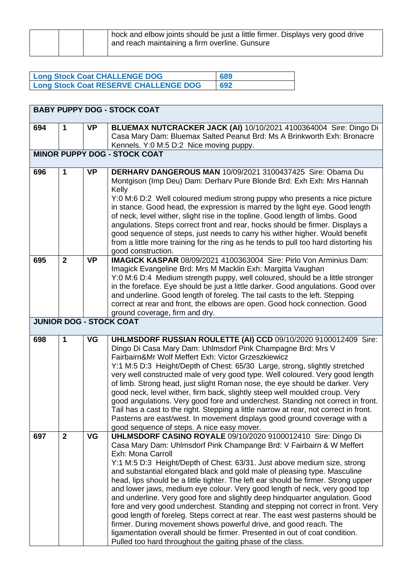|  | block and elbow joints should be just a little firmer. Displays very good drive<br>and reach maintaining a firm overline. Gunsure |
|--|-----------------------------------------------------------------------------------------------------------------------------------|
|  |                                                                                                                                   |

| <b>Long Stock Coat CHALLENGE DOG</b>         | 689 |
|----------------------------------------------|-----|
| <b>Long Stock Coat RESERVE CHALLENGE DOG</b> | 692 |

|                                     | <b>BABY PUPPY DOG - STOCK COAT</b> |           |                                                                                                                                                                                                                                                                                                                                                                                                                                                                                                                                                                                                                                                                                                                                                                                                                                                                                                                                                                |  |
|-------------------------------------|------------------------------------|-----------|----------------------------------------------------------------------------------------------------------------------------------------------------------------------------------------------------------------------------------------------------------------------------------------------------------------------------------------------------------------------------------------------------------------------------------------------------------------------------------------------------------------------------------------------------------------------------------------------------------------------------------------------------------------------------------------------------------------------------------------------------------------------------------------------------------------------------------------------------------------------------------------------------------------------------------------------------------------|--|
| 694                                 | 1                                  | <b>VP</b> | BLUEMAX NUTCRACKER JACK (AI) 10/10/2021 4100364004 Sire: Dingo Di<br>Casa Mary Dam: Bluemax Salted Peanut Brd: Ms A Brinkworth Exh: Bronacre<br>Kennels. Y:0 M:5 D:2 Nice moving puppy.                                                                                                                                                                                                                                                                                                                                                                                                                                                                                                                                                                                                                                                                                                                                                                        |  |
| <b>MINOR PUPPY DOG - STOCK COAT</b> |                                    |           |                                                                                                                                                                                                                                                                                                                                                                                                                                                                                                                                                                                                                                                                                                                                                                                                                                                                                                                                                                |  |
| 696                                 | 1                                  | <b>VP</b> | DERHARV DANGEROUS MAN 10/09/2021 3100437425 Sire: Obama Du<br>Montgison (Imp Deu) Dam: Derharv Pure Blonde Brd: Exh Exh: Mrs Hannah<br>Kelly<br>Y:0 M:6 D:2 Well coloured medium strong puppy who presents a nice picture<br>in stance. Good head, the expression is marred by the light eye. Good length<br>of neck, level wither, slight rise in the topline. Good length of limbs. Good<br>angulations. Steps correct front and rear, hocks should be firmer. Displays a<br>good sequence of steps, just needs to carry his wither higher. Would benefit<br>from a little more training for the ring as he tends to pull too hard distorting his<br>good construction.                                                                                                                                                                                                                                                                                      |  |
| 695                                 | $\overline{2}$                     | <b>VP</b> | <b>IMAGICK KASPAR 08/09/2021 4100363004 Sire: Pirlo Von Arminius Dam:</b><br>Imagick Evangeline Brd: Mrs M Macklin Exh: Margitta Vaughan<br>Y:0 M:6 D:4 Medium strength puppy, well coloured, should be a little stronger<br>in the foreface. Eye should be just a little darker. Good angulations. Good over<br>and underline. Good length of foreleg. The tail casts to the left. Stepping<br>correct at rear and front, the elbows are open. Good hock connection. Good<br>ground coverage, firm and dry.                                                                                                                                                                                                                                                                                                                                                                                                                                                   |  |
|                                     |                                    |           | <b>JUNIOR DOG - STOCK COAT</b>                                                                                                                                                                                                                                                                                                                                                                                                                                                                                                                                                                                                                                                                                                                                                                                                                                                                                                                                 |  |
| 698                                 | 1                                  | VG        | UHLMSDORF RUSSIAN ROULETTE (AI) CCD 09/10/2020 9100012409 Sire:<br>Dingo Di Casa Mary Dam: Uhlmsdorf Pink Champagne Brd: Mrs V<br>Fairbairn&Mr Wolf Meffert Exh: Victor Grzeszkiewicz<br>Y:1 M:5 D:3 Height/Depth of Chest: 65/30 Large, strong, slightly stretched<br>very well constructed male of very good type. Well coloured. Very good length<br>of limb. Strong head, just slight Roman nose, the eye should be darker. Very<br>good neck, level wither, firm back, slightly steep well moulded croup. Very<br>good angulations. Very good fore and underchest. Standing not correct in front.<br>Tail has a cast to the right. Stepping a little narrow at rear, not correct in front.<br>Pasterns are east/west. In movement displays good ground coverage with a<br>good sequence of steps. A nice easy mover.                                                                                                                                      |  |
| 697                                 | $\mathbf{2}$                       | VG        | UHLMSDORF CASINO ROYALE 09/10/2020 9100012410 Sire: Dingo Di<br>Casa Mary Dam: Uhlmsdorf Pink Champange Brd: V Fairbairn & W Meffert<br>Exh: Mona Carroll<br>Y:1 M:5 D:3 Height/Depth of Chest: 63/31. Just above medium size, strong<br>and substantial elongated black and gold male of pleasing type. Masculine<br>head, lips should be a little tighter. The left ear should be firmer. Strong upper<br>and lower jaws, medium eye colour. Very good length of neck, very good top<br>and underline. Very good fore and slightly deep hindquarter angulation. Good<br>fore and very good underchest. Standing and stepping not correct in front. Very<br>good length of foreleg. Steps correct at rear. The east west pasterns should be<br>firmer. During movement shows powerful drive, and good reach. The<br>ligamentation overall should be firmer. Presented in out of coat condition.<br>Pulled too hard throughout the gaiting phase of the class. |  |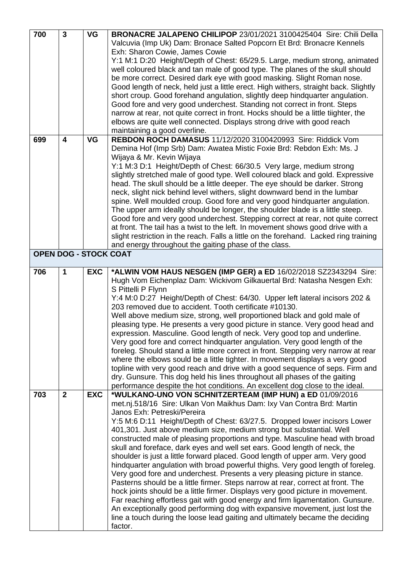| 700                          | $\overline{3}$          | <b>VG</b>  | BRONACRE JALAPENO CHILIPOP 23/01/2021 3100425404 Sire: Chili Della                    |
|------------------------------|-------------------------|------------|---------------------------------------------------------------------------------------|
|                              |                         |            | Valcuvia (Imp Uk) Dam: Bronace Salted Popcorn Et Brd: Bronacre Kennels                |
|                              |                         |            | Exh: Sharon Cowie, James Cowie                                                        |
|                              |                         |            | Y:1 M:1 D:20 Height/Depth of Chest: 65/29.5. Large, medium strong, animated           |
|                              |                         |            | well coloured black and tan male of good type. The planes of the skull should         |
|                              |                         |            | be more correct. Desired dark eye with good masking. Slight Roman nose.               |
|                              |                         |            | Good length of neck, held just a little erect. High withers, straight back. Slightly  |
|                              |                         |            | short croup. Good forehand angulation, slightly deep hindquarter angulation.          |
|                              |                         |            | Good fore and very good underchest. Standing not correct in front. Steps              |
|                              |                         |            | narrow at rear, not quite correct in front. Hocks should be a little tiighter, the    |
|                              |                         |            | elbows are quite well connected. Displays strong drive with good reach                |
|                              |                         |            | maintaining a good overline.                                                          |
| 699                          | $\overline{\mathbf{4}}$ | <b>VG</b>  | REBDON ROCH DAMASUS 11/12/2020 3100420993 Sire: Riddick Vom                           |
|                              |                         |            | Demina Hof (Imp Srb) Dam: Awatea Mistic Foxie Brd: Rebdon Exh: Ms. J                  |
|                              |                         |            | Wijaya & Mr. Kevin Wijaya                                                             |
|                              |                         |            | Y:1 M:3 D:1 Height/Depth of Chest: 66/30.5 Very large, medium strong                  |
|                              |                         |            | slightly stretched male of good type. Well coloured black and gold. Expressive        |
|                              |                         |            | head. The skull should be a little deeper. The eye should be darker. Strong           |
|                              |                         |            | neck, slight nick behind level withers, slight downward bend in the lumbar            |
|                              |                         |            | spine. Well moulded croup. Good fore and very good hindquarter angulation.            |
|                              |                         |            | The upper arm ideally should be longer, the shoulder blade is a little steep.         |
|                              |                         |            | Good fore and very good underchest. Stepping correct at rear, not quite correct       |
|                              |                         |            | at front. The tail has a twist to the left. In movement shows good drive with a       |
|                              |                         |            | slight restriction in the reach. Falls a little on the forehand. Lacked ring training |
|                              |                         |            | and energy throughout the gaiting phase of the class.                                 |
| <b>OPEN DOG - STOCK COAT</b> |                         |            |                                                                                       |
|                              |                         |            |                                                                                       |
| 706                          | 1                       | <b>EXC</b> | *ALWIN VOM HAUS NESGEN (IMP GER) a ED 16/02/2018 SZ2343294 Sire:                      |
|                              |                         |            | Hugh Vom Eichenplaz Dam: Wickivom Gilkauertal Brd: Natasha Nesgen Exh:                |
|                              |                         |            | S Pittelli P Flynn                                                                    |
|                              |                         |            | Y:4 M:0 D:27 Height/Depth of Chest: 64/30. Upper left lateral incisors 202 &          |
|                              |                         |            | 203 removed due to accident. Tooth certificate #10130.                                |
|                              |                         |            | Well above medium size, strong, well proportioned black and gold male of              |
|                              |                         |            | pleasing type. He presents a very good picture in stance. Very good head and          |
|                              |                         |            | expression. Masculine. Good length of neck. Very good top and underline.              |
|                              |                         |            | Very good fore and correct hindquarter angulation. Very good length of the            |
|                              |                         |            | foreleg. Should stand a little more correct in front. Stepping very narrow at rear    |
|                              |                         |            | where the elbows sould be a little tighter. In movement displays a very good          |
|                              |                         |            | topline with very good reach and drive with a good sequence of seps. Firm and         |
|                              |                         |            | dry. Gunsure. This dog held his lines throughout all phases of the gaiting            |
|                              |                         |            | performance despite the hot conditions. An excellent dog close to the ideal.          |
| 703                          | $\overline{2}$          | <b>EXC</b> | *WULKANO-UNO VON SCHNITZERTEAM (IMP HUN) a ED 01/09/2016                              |
|                              |                         |            | met.nj.518/16 Sire: Ulkan Von Maikhus Dam: Ixy Van Contra Brd: Martin                 |
|                              |                         |            | Janos Exh: Petreski/Pereira                                                           |
|                              |                         |            | Y:5 M:6 D:11 Height/Depth of Chest: 63/27.5. Dropped lower incisors Lower             |
|                              |                         |            | 401,301. Just above medium size, medium strong but substantial. Well                  |
|                              |                         |            | constructed male of pleasing proportions and type. Masculine head with broad          |
|                              |                         |            | skull and foreface, dark eyes and well set ears. Good length of neck, the             |
|                              |                         |            | shoulder is just a little forward placed. Good length of upper arm. Very good         |
|                              |                         |            | hindquarter angulation with broad powerful thighs. Very good length of foreleg.       |
|                              |                         |            | Very good fore and underchest. Presents a very pleasing picture in stance.            |
|                              |                         |            | Pasterns should be a little firmer. Steps narrow at rear, correct at front. The       |
|                              |                         |            | hock joints should be a little firmer. Displays very good picture in movement.        |
|                              |                         |            | Far reaching effortless gait with good energy and firm ligamentation. Gunsure.        |
|                              |                         |            | An exceptionally good performing dog with expansive movement, just lost the           |
|                              |                         |            | line a touch during the loose lead gaiting and ultimately became the deciding         |
|                              |                         |            | factor.                                                                               |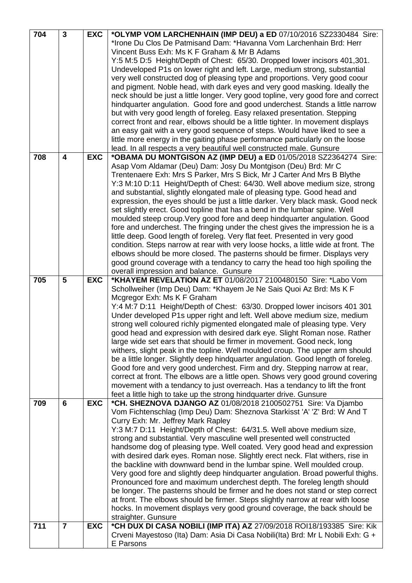| 704 | $\mathbf{3}$            | <b>EXC</b> | *OLYMP VOM LARCHENHAIN (IMP DEU) a ED 07/10/2016 SZ2330484 Sire:                   |
|-----|-------------------------|------------|------------------------------------------------------------------------------------|
|     |                         |            | *Irone Du Clos De Patmisand Dam: *Havanna Vom Larchenhain Brd: Herr                |
|     |                         |            | Vincent Buss Exh: Ms K F Graham & Mr B Adams                                       |
|     |                         |            | Y:5 M:5 D:5 Height/Depth of Chest: 65/30. Dropped lower incisors 401,301.          |
|     |                         |            | Undeveloped P1s on lower right and left. Large, medium strong, substantial         |
|     |                         |            | very well constructed dog of pleasing type and proportions. Very good coour        |
|     |                         |            | and pigment. Noble head, with dark eyes and very good masking. Ideally the         |
|     |                         |            |                                                                                    |
|     |                         |            | neck should be just a little longer. Very good topline, very good fore and correct |
|     |                         |            | hindquarter angulation. Good fore and good underchest. Stands a little narrow      |
|     |                         |            | but with very good length of foreleg. Easy relaxed presentation. Stepping          |
|     |                         |            | correct front and rear, elbows should be a little tighter. In movement displays    |
|     |                         |            | an easy gait with a very good sequence of steps. Would have liked to see a         |
|     |                         |            | little more energy in the gaiting phase performance particularly on the loose      |
|     |                         |            | lead. In all respects a very beautiful well constructed male. Gunsure              |
| 708 | $\overline{\mathbf{4}}$ | <b>EXC</b> | *OBAMA DU MONTGISON AZ (IMP DEU) a ED 01/05/2018 SZ2364274 Sire:                   |
|     |                         |            | Asap Vom Aldamar (Deu) Dam: Josy Du Montgison (Deu) Brd: Mr C                      |
|     |                         |            | Trentenaere Exh: Mrs S Parker, Mrs S Bick, Mr J Carter And Mrs B Blythe            |
|     |                         |            | Y:3 M:10 D:11 Height/Depth of Chest: 64/30. Well above medium size, strong         |
|     |                         |            | and substantial, slightly elongated male of pleasing type. Good head and           |
|     |                         |            | expression, the eyes should be just a little darker. Very black mask. Good neck    |
|     |                         |            | set slightly erect. Good topline that has a bend in the lumbar spine. Well         |
|     |                         |            | moulded steep croup. Very good fore and deep hindquarter angulation. Good          |
|     |                         |            | fore and underchest. The fringing under the chest gives the impression he is a     |
|     |                         |            | little deep. Good length of foreleg. Very flat feet. Presented in very good        |
|     |                         |            | condition. Steps narrow at rear with very loose hocks, a little wide at front. The |
|     |                         |            | elbows should be more closed. The pasterns should be firmer. Displays very         |
|     |                         |            | good ground coverage with a tendancy to carry the head too high spoiling the       |
|     |                         |            | overall impression and balance. Gunsure                                            |
| 705 | 5                       | <b>EXC</b> | *KHAYEM REVELATION AZ ET 01/08/2017 2100480150 Sire: *Labo Vom                     |
|     |                         |            |                                                                                    |
|     |                         |            | Schollweiher (Imp Deu) Dam: *Khayem Je Ne Sais Quoi Az Brd: Ms K F                 |
|     |                         |            | Mcgregor Exh: Ms K F Graham                                                        |
|     |                         |            | Y:4 M:7 D:11 Height/Depth of Chest: 63/30. Dropped lower incisors 401 301          |
|     |                         |            | Under developed P1s upper right and left. Well above medium size, medium           |
|     |                         |            | strong well coloured richly pigmented elongated male of pleasing type. Very        |
|     |                         |            | good head and expression with desired dark eye. Slight Roman nose. Rather          |
|     |                         |            | large wide set ears that should be firmer in movement. Good neck, long             |
|     |                         |            | withers, slight peak in the topline. Well moulded croup. The upper arm should      |
|     |                         |            | be a little longer. Slightly deep hindquarter angulation. Good length of foreleg.  |
|     |                         |            | Good fore and very good underchest. Firm and dry. Stepping narrow at rear,         |
|     |                         |            | correct at front. The elbows are a little open. Shows very good ground covering    |
|     |                         |            | movement with a tendancy to just overreach. Has a tendancy to lift the front       |
|     |                         |            | feet a little high to take up the strong hindquarter drive. Gunsure                |
| 709 | 6                       | <b>EXC</b> | *CH. SHEZNOVA DJANGO AZ 01/08/2018 2100502751 Sire: Va Djambo                      |
|     |                         |            | Vom Fichtenschlag (Imp Deu) Dam: Sheznova Starkisst 'A' 'Z' Brd: W And T           |
|     |                         |            | Curry Exh: Mr. Jeffrey Mark Rapley                                                 |
|     |                         |            | Y:3 M:7 D:11 Height/Depth of Chest: 64/31.5. Well above medium size,               |
|     |                         |            | strong and substantial. Very masculine well presented well constructed             |
|     |                         |            | handsome dog of pleasing type. Well coated. Very good head and expression          |
|     |                         |            | with desired dark eyes. Roman nose. Slightly erect neck. Flat withers, rise in     |
|     |                         |            | the backline with downward bend in the lumbar spine. Well moulded croup.           |
|     |                         |            | Very good fore and slightly deep hindquarter angulation. Broad powerful thighs.    |
|     |                         |            | Pronounced fore and maximum underchest depth. The foreleg length should            |
|     |                         |            | be longer. The pasterns should be firmer and he does not stand or step correct     |
|     |                         |            | at front. The elbows should be firmer. Steps slightly narrow at rear with loose    |
|     |                         |            | hocks. In movement displays very good ground coverage, the back should be          |
|     |                         |            | straighter. Gunsure                                                                |
| 711 | $\overline{7}$          | <b>EXC</b> | *CH DUX DI CASA NOBILI (IMP ITA) AZ 27/09/2018 ROI18/193385 Sire: Kik              |
|     |                         |            | Crveni Mayestoso (Ita) Dam: Asia Di Casa Nobili(Ita) Brd: Mr L Nobili Exh: G +     |
|     |                         |            | E Parsons                                                                          |
|     |                         |            |                                                                                    |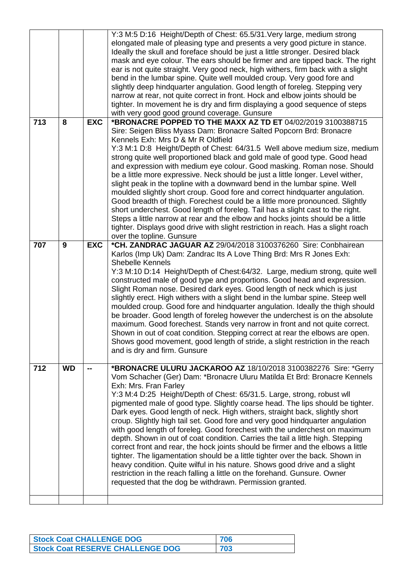|     |           |              | Y:3 M:5 D:16 Height/Depth of Chest: 65.5/31. Very large, medium strong<br>elongated male of pleasing type and presents a very good picture in stance.<br>Ideally the skull and foreface should be just a little stronger. Desired black<br>mask and eye colour. The ears should be firmer and are tipped back. The right<br>ear is not quite straight. Very good neck, high withers, firm back with a slight<br>bend in the lumbar spine. Quite well moulded croup. Very good fore and<br>slightly deep hindquarter angulation. Good length of foreleg. Stepping very<br>narrow at rear, not quite correct in front. Hock and elbow joints should be<br>tighter. In movement he is dry and firm displaying a good sequence of steps<br>with very good good ground coverage. Gunsure                                                                                                                                                                                                                                                                          |
|-----|-----------|--------------|--------------------------------------------------------------------------------------------------------------------------------------------------------------------------------------------------------------------------------------------------------------------------------------------------------------------------------------------------------------------------------------------------------------------------------------------------------------------------------------------------------------------------------------------------------------------------------------------------------------------------------------------------------------------------------------------------------------------------------------------------------------------------------------------------------------------------------------------------------------------------------------------------------------------------------------------------------------------------------------------------------------------------------------------------------------|
| 713 | 8         | <b>EXC</b>   | *BRONACRE POPPED TO THE MAXX AZ TD ET 04/02/2019 3100388715<br>Sire: Seigen Bliss Myass Dam: Bronacre Salted Popcorn Brd: Bronacre<br>Kennels Exh: Mrs D & Mr R Oldfield<br>Y:3 M:1 D:8 Height/Depth of Chest: 64/31.5 Well above medium size, medium<br>strong quite well proportioned black and gold male of good type. Good head<br>and expression with medium eye colour. Good masking. Roman nose. Should<br>be a little more expressive. Neck should be just a little longer. Level wither,<br>slight peak in the topline with a downward bend in the lumbar spine. Well<br>moulded slightly short croup. Good fore and correct hindquarter angulation.<br>Good breadth of thigh. Forechest could be a little more pronounced. Slightly<br>short underchest. Good length of foreleg. Tail has a slight cast to the right.<br>Steps a little narrow at rear and the elbow and hocks joints should be a little<br>tighter. Displays good drive with slight restriction in reach. Has a slight roach<br>over the topline. Gunsure                         |
| 707 | 9         | <b>EXC</b>   | *CH. ZANDRAC JAGUAR AZ 29/04/2018 3100376260 Sire: Conbhairean<br>Karlos (Imp Uk) Dam: Zandrac Its A Love Thing Brd: Mrs R Jones Exh:<br><b>Shebelle Kennels</b><br>Y:3 M:10 D:14 Height/Depth of Chest:64/32. Large, medium strong, quite well<br>constructed male of good type and proportions. Good head and expression.<br>Slight Roman nose. Desired dark eyes. Good length of neck which is just<br>slightly erect. High withers with a slight bend in the lumbar spine. Steep well<br>moulded croup. Good fore and hindquarter angulation. Ideally the thigh should<br>be broader. Good length of foreleg however the underchest is on the absolute<br>maximum. Good forechest. Stands very narrow in front and not quite correct.<br>Shown in out of coat condition. Stepping correct at rear the elbows are open.<br>Shows good movement, good length of stride, a slight restriction in the reach<br>and is dry and firm. Gunsure                                                                                                                  |
| 712 | <b>WD</b> | $\mathbf{m}$ | *BRONACRE ULURU JACKAROO AZ 18/10/2018 3100382276 Sire: *Gerry<br>Vom Schacher (Ger) Dam: *Bronacre Uluru Matilda Et Brd: Bronacre Kennels<br>Exh: Mrs. Fran Farley<br>Y:3 M:4 D:25 Height/Depth of Chest: 65/31.5. Large, strong, robust wll<br>pigmented male of good type. Slightly coarse head. The lips should be tighter.<br>Dark eyes. Good length of neck. High withers, straight back, slightly short<br>croup. Slightly high tail set. Good fore and very good hindquarter angulation<br>with good length of foreleg. Good forechest with the underchest on maximum<br>depth. Shown in out of coat condition. Carries the tail a little high. Stepping<br>correct front and rear, the hock joints should be firmer and the elbows a little<br>tighter. The ligamentation should be a little tighter over the back. Shown in<br>heavy condition. Quite wilful in his nature. Shows good drive and a slight<br>restriction in the reach falling a little on the forehand. Gunsure. Owner<br>requested that the dog be withdrawn. Permission granted. |
|     |           |              |                                                                                                                                                                                                                                                                                                                                                                                                                                                                                                                                                                                                                                                                                                                                                                                                                                                                                                                                                                                                                                                              |

| <b>Stock Coat CHALLENGE DOG</b>         | 706 |
|-----------------------------------------|-----|
| <b>Stock Coat RESERVE CHALLENGE DOG</b> | 703 |